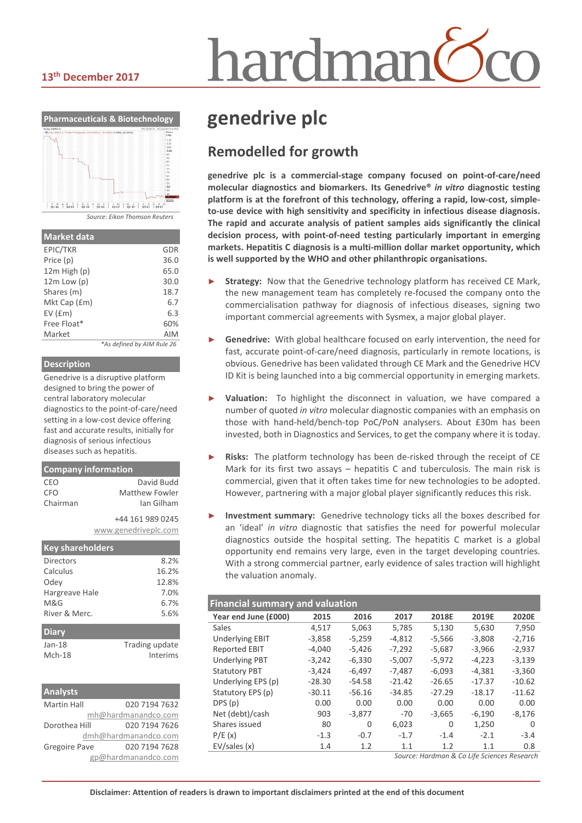# nardmar

#### **13th December 2017**



| <b>Market data</b> |                            |
|--------------------|----------------------------|
| EPIC/TKR           | GDR                        |
| Price (p)          | 36.0                       |
| $12m$ High $(p)$   | 65.0                       |
| $12m$ Low $(p)$    | 30.0                       |
| Shares (m)         | 18.7                       |
| Mkt Cap (£m)       | 6.7                        |
| EV(fm)             | 6.3                        |
| Free Float*        | 60%                        |
| Market             | <b>AIM</b>                 |
|                    | *As defined by AIM Rule 26 |

#### **Description**

Genedrive is a disruptive platform designed to bring the power of central laboratory molecular diagnostics to the point-of-care/need setting in a low-cost device offering fast and accurate results, initially for diagnosis of serious infectious diseases such as hepatitis.

#### **Company information** CEO David Budd CFO Matthew Fowler Chairman Ian Gilham +44 161 989 0245 www.genedriveplc.com **Key shareholders** Directors 8.2% Calculus 16.2% Odey 12.8%

| Hargreave Hale | 7.0%           |
|----------------|----------------|
| M&G            | 6.7%           |
| River & Merc.  | 5.6%           |
|                |                |
| <b>Diary</b>   |                |
| $Jan-18$       | Trading update |

| <b>Analysts</b>    |                      |
|--------------------|----------------------|
| <b>Martin Hall</b> | 020 7194 7632        |
|                    | mh@hardmanandco.com  |
| Dorothea Hill      | 020 7194 7626        |
|                    | dmh@hardmanandco.com |
| Gregoire Pave      | 020 7194 7628        |
|                    | gp@hardmanandco.com  |

## **genedrive plc**

### **Remodelled for growth**

**genedrive plc is a commercial-stage company focused on point-of-care/need molecular diagnostics and biomarkers. Its Genedrive®** *in vitro* **diagnostic testing platform is at the forefront of this technology, offering a rapid, low-cost, simpleto-use device with high sensitivity and specificity in infectious disease diagnosis. The rapid and accurate analysis of patient samples aids significantly the clinical decision process, with point-of-need testing particularly important in emerging markets. Hepatitis C diagnosis is a multi-million dollar market opportunity, which is well supported by the WHO and other philanthropic organisations.**

- Strategy: Now that the Genedrive technology platform has received CE Mark, the new management team has completely re-focused the company onto the commercialisation pathway for diagnosis of infectious diseases, signing two important commercial agreements with Sysmex, a major global player.
- Genedrive: With global healthcare focused on early intervention, the need for fast, accurate point-of-care/need diagnosis, particularly in remote locations, is obvious. Genedrive has been validated through CE Mark and the Genedrive HCV ID Kit is being launched into a big commercial opportunity in emerging markets.
- Valuation: To highlight the disconnect in valuation, we have compared a number of quoted *in vitro* molecular diagnostic companies with an emphasis on those with hand-held/bench-top PoC/PoN analysers. About £30m has been invested, both in Diagnostics and Services, to get the company where it is today.
- Risks: The platform technology has been de-risked through the receipt of CE Mark for its first two assays – hepatitis C and tuberculosis. The main risk is commercial, given that it often takes time for new technologies to be adopted. However, partnering with a major global player significantly reduces this risk.
- **Investment summary:** Genedrive technology ticks all the boxes described for an 'ideal' *in vitro* diagnostic that satisfies the need for powerful molecular diagnostics outside the hospital setting. The hepatitis C market is a global opportunity end remains very large, even in the target developing countries. With a strong commercial partner, early evidence of sales traction will highlight the valuation anomaly.

| <b>Financial summary and valuation</b> |          |          |          |          |          |  |  |  |  |
|----------------------------------------|----------|----------|----------|----------|----------|--|--|--|--|
| 2015                                   | 2016     | 2017     | 2018E    | 2019E    | 2020E    |  |  |  |  |
| 4.517                                  | 5.063    | 5.785    | 5.130    | 5.630    | 7,950    |  |  |  |  |
| $-3,858$                               | $-5,259$ | $-4,812$ | $-5,566$ | $-3,808$ | $-2,716$ |  |  |  |  |
| $-4,040$                               | $-5,426$ | $-7,292$ | $-5,687$ | $-3,966$ | $-2,937$ |  |  |  |  |
| $-3,242$                               | $-6,330$ | $-5,007$ | $-5,972$ | $-4,223$ | $-3,139$ |  |  |  |  |
| $-3.424$                               | $-6.497$ | $-7.487$ | $-6.093$ | $-4.381$ | $-3.360$ |  |  |  |  |
| $-28.30$                               | $-54.58$ | $-21.42$ | $-26.65$ | $-17.37$ | $-10.62$ |  |  |  |  |
| $-30.11$                               | $-56.16$ | $-34.85$ | $-27.29$ | $-18.17$ | $-11.62$ |  |  |  |  |
| 0.00                                   | 0.00     | 0.00     | 0.00     | 0.00     | 0.00     |  |  |  |  |
| 903                                    | $-3,877$ | -70      | $-3,665$ | $-6,190$ | $-8,176$ |  |  |  |  |
| 80                                     | 0        | 6,023    | 0        | 1,250    | $\Omega$ |  |  |  |  |
| $-1.3$                                 | $-0.7$   | $-1.7$   | $-1.4$   | $-2.1$   | $-3.4$   |  |  |  |  |
| 1.4                                    | 1.2      | 1.1      | 1.2      | 1.1      | 0.8      |  |  |  |  |
|                                        |          |          |          |          |          |  |  |  |  |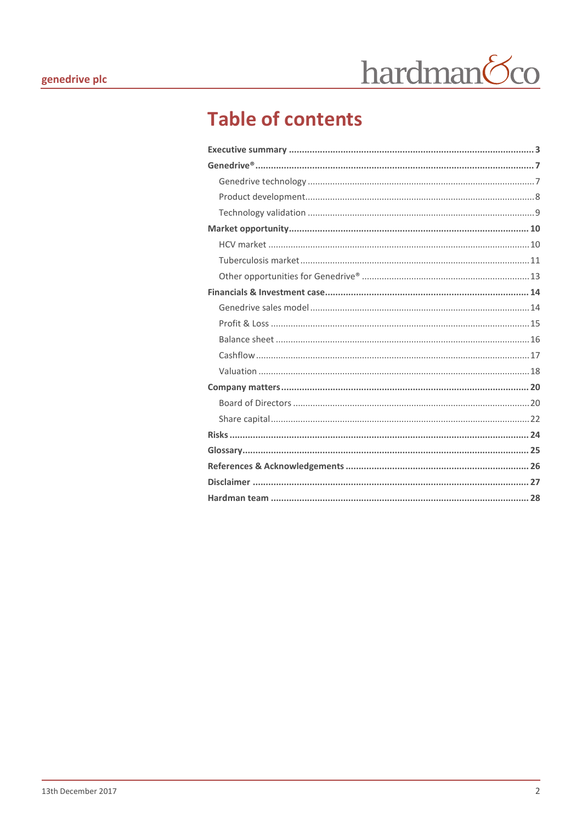## **Table of contents**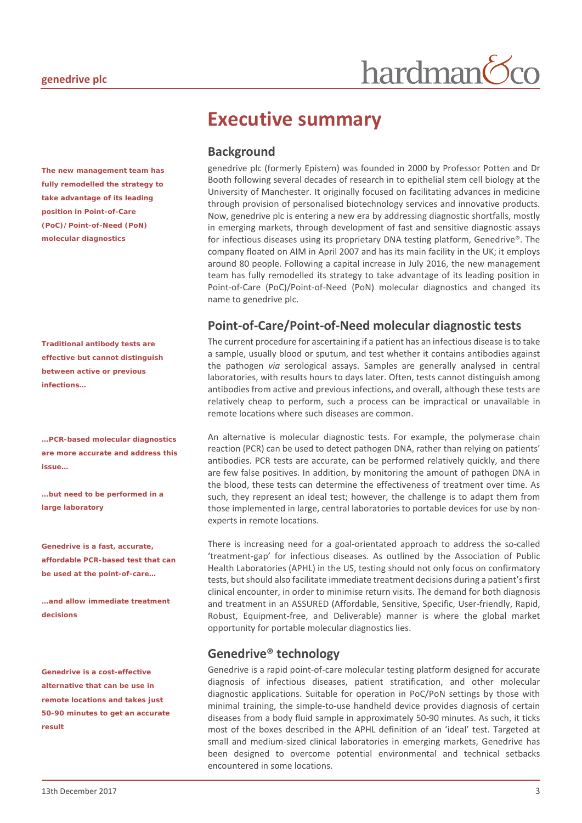*The new management team has fully remodelled the strategy to take advantage of its leading position in Point-of-Care (PoC)/Point-of-Need (PoN) molecular diagnostics*

*Traditional antibody tests are effective but cannot distinguish between active or previous infections…*

*…PCR-based molecular diagnostics are more accurate and address this issue…* 

*…but need to be performed in a large laboratory*

*Genedrive is a fast, accurate, affordable PCR-based test that can be used at the point-of-care…*

*…and allow immediate treatment decisions*

*Genedrive is a cost-effective alternative that can be use in remote locations and takes just 50-90 minutes to get an accurate result*

## <span id="page-2-0"></span>**Executive summary**

#### **Background**

genedrive plc (formerly Epistem) was founded in 2000 by Professor Potten and Dr Booth following several decades of research in to epithelial stem cell biology at the University of Manchester. It originally focused on facilitating advances in medicine through provision of personalised biotechnology services and innovative products. Now, genedrive plc is entering a new era by addressing diagnostic shortfalls, mostly in emerging markets, through development of fast and sensitive diagnostic assays for infectious diseases using its proprietary DNA testing platform, Genedrive®. The company floated on AIM in April 2007 and has its main facility in the UK; it employs around 80 people. Following a capital increase in July 2016, the new management team has fully remodelled its strategy to take advantage of its leading position in Point-of-Care (PoC)/Point-of-Need (PoN) molecular diagnostics and changed its name to genedrive plc.

hardman

#### **Point-of-Care/Point-of-Need molecular diagnostic tests**

The current procedure for ascertaining if a patient has an infectious disease is to take a sample, usually blood or sputum, and test whether it contains antibodies against the pathogen *via* serological assays. Samples are generally analysed in central laboratories, with results hours to days later. Often, tests cannot distinguish among antibodies from active and previous infections, and overall, although these tests are relatively cheap to perform, such a process can be impractical or unavailable in remote locations where such diseases are common.

An alternative is molecular diagnostic tests. For example, the polymerase chain reaction (PCR) can be used to detect pathogen DNA, rather than relying on patients' antibodies. PCR tests are accurate, can be performed relatively quickly, and there are few false positives. In addition, by monitoring the amount of pathogen DNA in the blood, these tests can determine the effectiveness of treatment over time. As such, they represent an ideal test; however, the challenge is to adapt them from those implemented in large, central laboratories to portable devices for use by nonexperts in remote locations.

There is increasing need for a goal-orientated approach to address the so-called 'treatment-gap' for infectious diseases. As outlined by the Association of Public Health Laboratories (APHL) in the US, testing should not only focus on confirmatory tests, but should also facilitate immediate treatment decisions during a patient's first clinical encounter, in order to minimise return visits. The demand for both diagnosis and treatment in an ASSURED (Affordable, Sensitive, Specific, User-friendly, Rapid, Robust, Equipment-free, and Deliverable) manner is where the global market opportunity for portable molecular diagnostics lies.

#### **Genedrive® technology**

Genedrive is a rapid point-of-care molecular testing platform designed for accurate diagnosis of infectious diseases, patient stratification, and other molecular diagnostic applications. Suitable for operation in PoC/PoN settings by those with minimal training, the simple-to-use handheld device provides diagnosis of certain diseases from a body fluid sample in approximately 50-90 minutes. As such, it ticks most of the boxes described in the APHL definition of an 'ideal' test. Targeted at small and medium-sized clinical laboratories in emerging markets, Genedrive has been designed to overcome potential environmental and technical setbacks encountered in some locations.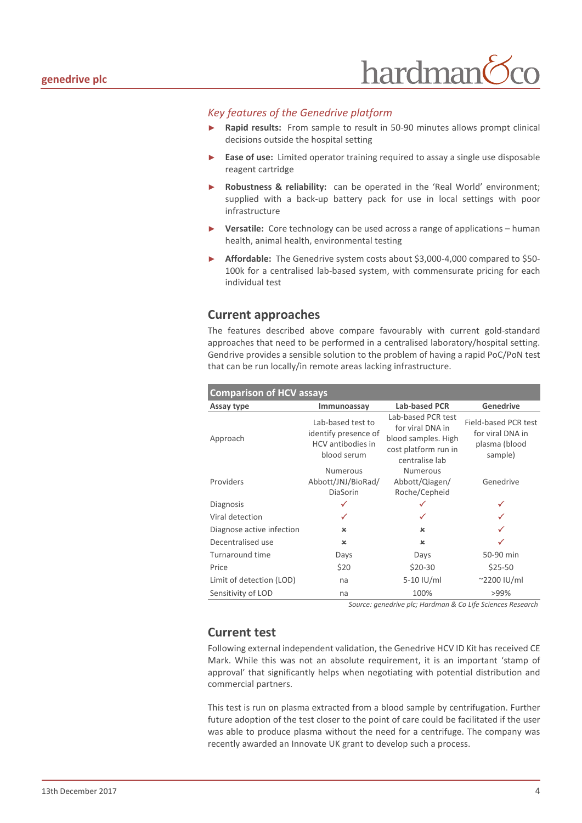

#### *Key features of the Genedrive platform*

- **Rapid results:** From sample to result in 50-90 minutes allows prompt clinical decisions outside the hospital setting
- Ease of use: Limited operator training required to assay a single use disposable reagent cartridge
- Robustness & reliability: can be operated in the 'Real World' environment; supplied with a back-up battery pack for use in local settings with poor infrastructure
- Versatile: Core technology can be used across a range of applications human health, animal health, environmental testing
- ► **Affordable:** The Genedrive system costs about \$3,000-4,000 compared to \$50- 100k for a centralised lab-based system, with commensurate pricing for each individual test

#### **Current approaches**

The features described above compare favourably with current gold-standard approaches that need to be performed in a centralised laboratory/hospital setting. Gendrive provides a sensible solution to the problem of having a rapid PoC/PoN test that can be run locally/in remote areas lacking infrastructure.

| <b>Comparison of HCV assays</b> |                                                                               |                                                                                                         |                                                                      |  |  |  |  |  |
|---------------------------------|-------------------------------------------------------------------------------|---------------------------------------------------------------------------------------------------------|----------------------------------------------------------------------|--|--|--|--|--|
| Assay type                      | Immunoassay                                                                   | <b>Lab-based PCR</b>                                                                                    | <b>Genedrive</b>                                                     |  |  |  |  |  |
| Approach                        | Lab-based test to<br>identify presence of<br>HCV antibodies in<br>blood serum | Lab-based PCR test<br>for viral DNA in<br>blood samples. High<br>cost platform run in<br>centralise lab | Field-based PCR test<br>for viral DNA in<br>plasma (blood<br>sample) |  |  |  |  |  |
| Providers                       | <b>Numerous</b><br>Abbott/JNJ/BioRad/<br><b>DiaSorin</b>                      | <b>Numerous</b><br>Abbott/Qiagen/<br>Roche/Cepheid                                                      | Genedrive                                                            |  |  |  |  |  |
| Diagnosis                       |                                                                               |                                                                                                         |                                                                      |  |  |  |  |  |
| Viral detection                 |                                                                               |                                                                                                         |                                                                      |  |  |  |  |  |
| Diagnose active infection       | $\mathbf x$                                                                   | $\mathbf x$                                                                                             |                                                                      |  |  |  |  |  |
| Decentralised use               | $\boldsymbol{\mathsf{x}}$                                                     | $\boldsymbol{\times}$                                                                                   |                                                                      |  |  |  |  |  |
| Turnaround time                 | Days                                                                          | Days                                                                                                    | 50-90 min                                                            |  |  |  |  |  |
| Price                           | \$20                                                                          | $$20-30$                                                                                                | $$25-50$                                                             |  |  |  |  |  |
| Limit of detection (LOD)        | na                                                                            | $5-10$ IU/ml                                                                                            | $^{\sim}$ 2200 IU/ml                                                 |  |  |  |  |  |
| Sensitivity of LOD              | na                                                                            | 100%                                                                                                    | >99%                                                                 |  |  |  |  |  |

*Source: genedrive plc; Hardman & Co Life Sciences Research*

#### **Current test**

Following external independent validation, the Genedrive HCV ID Kit has received CE Mark. While this was not an absolute requirement, it is an important 'stamp of approval' that significantly helps when negotiating with potential distribution and commercial partners.

This test is run on plasma extracted from a blood sample by centrifugation. Further future adoption of the test closer to the point of care could be facilitated if the user was able to produce plasma without the need for a centrifuge. The company was recently awarded an Innovate UK grant to develop such a process.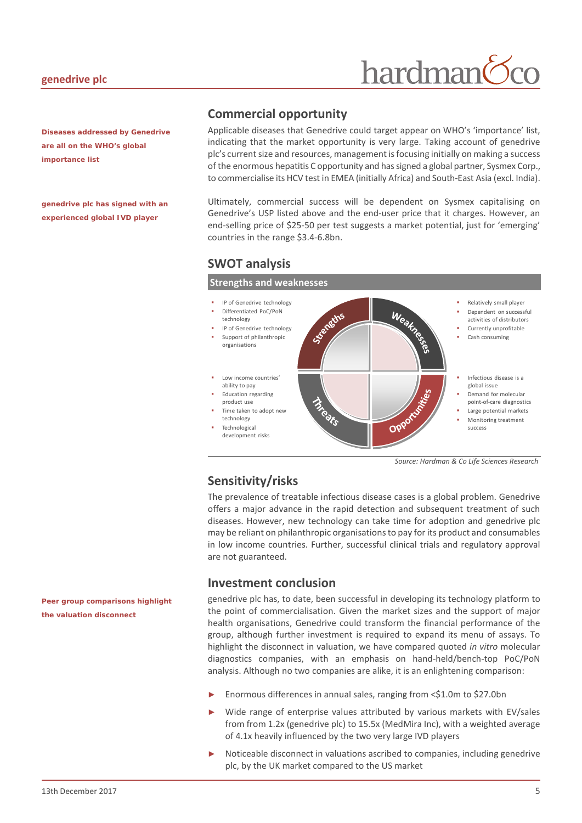#### **genedrive plc**

## hardman

*Diseases addressed by Genedrive are all on the WHO's global importance list*

*genedrive plc has signed with an experienced global IVD player*

#### **Commercial opportunity**

Applicable diseases that Genedrive could target appear on WHO's 'importance' list, indicating that the market opportunity is very large. Taking account of genedrive plc's current size and resources, management is focusing initially on making a success of the enormous hepatitis C opportunity and has signed a global partner, Sysmex Corp., to commercialise its HCV test in EMEA (initially Africa) and South-East Asia (excl. India).

Ultimately, commercial success will be dependent on Sysmex capitalising on Genedrive's USP listed above and the end-user price that it charges. However, an end-selling price of \$25-50 per test suggests a market potential, just for 'emerging' countries in the range \$3.4-6.8bn.

#### **SWOT analysis**



*Source: Hardman & Co Life Sciences Research*

#### **Sensitivity/risks**

The prevalence of treatable infectious disease cases is a global problem. Genedrive offers a major advance in the rapid detection and subsequent treatment of such diseases. However, new technology can take time for adoption and genedrive plc may be reliant on philanthropic organisations to pay for its product and consumables in low income countries. Further, successful clinical trials and regulatory approval are not guaranteed.

#### **Investment conclusion**

genedrive plc has, to date, been successful in developing its technology platform to the point of commercialisation. Given the market sizes and the support of major health organisations, Genedrive could transform the financial performance of the group, although further investment is required to expand its menu of assays. To highlight the disconnect in valuation, we have compared quoted *in vitro* molecular diagnostics companies, with an emphasis on hand-held/bench-top PoC/PoN analysis. Although no two companies are alike, it is an enlightening comparison:

- Enormous differences in annual sales, ranging from <\$1.0m to \$27.0bn
- Wide range of enterprise values attributed by various markets with EV/sales from from 1.2x (genedrive plc) to 15.5x (MedMira Inc), with a weighted average of 4.1x heavily influenced by the two very large IVD players
- Noticeable disconnect in valuations ascribed to companies, including genedrive plc, by the UK market compared to the US market

*Peer group comparisons highlight the valuation disconnect*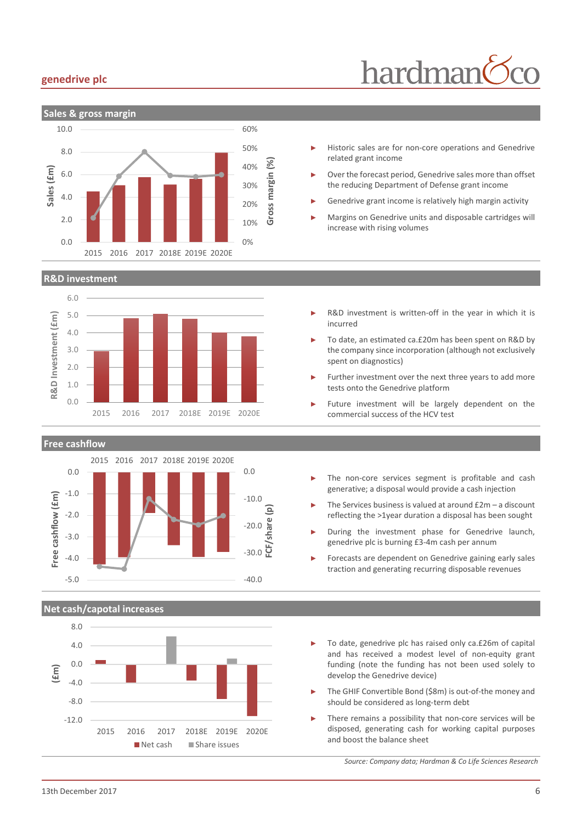#### **genedrive plc**



#### **R&D investment**



**Free cashflow**



#### **Net cash/capotal increases**



- hardman
- Historic sales are for non-core operations and Genedrive related grant income
- Over the forecast period, Genedrive sales more than offset the reducing Department of Defense grant income
- Genedrive grant income is relatively high margin activity
- Margins on Genedrive units and disposable cartridges will increase with rising volumes
- R&D investment is written-off in the year in which it is incurred
- To date, an estimated ca.£20m has been spent on R&D by the company since incorporation (although not exclusively spent on diagnostics)
- Further investment over the next three years to add more tests onto the Genedrive platform
- Future investment will be largely dependent on the commercial success of the HCV test
- The non-core services segment is profitable and cash generative; a disposal would provide a cash injection
- The Services business is valued at around  $£2m a$  discount reflecting the >1year duration a disposal has been sought
- During the investment phase for Genedrive launch, genedrive plc is burning £3-4m cash per annum
- Forecasts are dependent on Genedrive gaining early sales traction and generating recurring disposable revenues
- To date, genedrive plc has raised only ca.£26m of capital and has received a modest level of non-equity grant funding (note the funding has not been used solely to develop the Genedrive device)
- The GHIF Convertible Bond (\$8m) is out-of-the money and should be considered as long-term debt
- There remains a possibility that non-core services will be disposed, generating cash for working capital purposes and boost the balance sheet

*Source: Company data; Hardman & Co Life Sciences Research*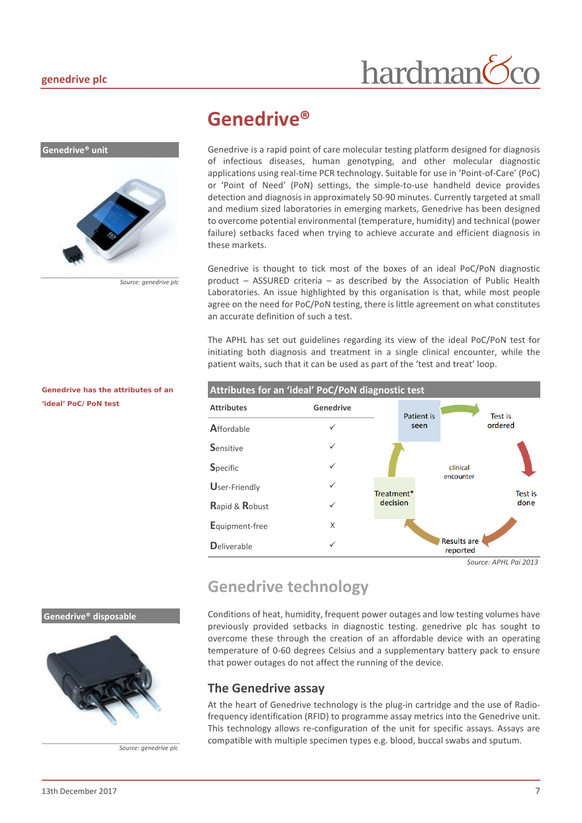**Genedrive® unit**

## hardman

## <span id="page-6-0"></span>**Genedrive®**

Genedrive is a rapid point of care molecular testing platform designed for diagnosis of infectious diseases, human genotyping, and other molecular diagnostic applications using real-time PCR technology. Suitable for use in 'Point-of-Care' (PoC) or 'Point of Need' (PoN) settings, the simple-to-use handheld device provides detection and diagnosis in approximately 50-90 minutes. Currently targeted at small and medium sized laboratories in emerging markets, Genedrive has been designed to overcome potential environmental (temperature, humidity) and technical (power failure) setbacks faced when trying to achieve accurate and efficient diagnosis in these markets.

Genedrive is thought to tick most of the boxes of an ideal PoC/PoN diagnostic product – ASSURED criteria – as described by the Association of Public Health Laboratories. An issue highlighted by this organisation is that, while most people agree on the need for PoC/PoN testing, there is little agreement on what constitutes an accurate definition of such a test.

The APHL has set out guidelines regarding its view of the ideal PoC/PoN test for initiating both diagnosis and treatment in a single clinical encounter, while the patient waits, such that it can be used as part of the 'test and treat' loop.



## <span id="page-6-1"></span>**Genedrive technology**

Conditions of heat, humidity, frequent power outages and low testing volumes have previously provided setbacks in diagnostic testing. genedrive plc has sought to overcome these through the creation of an affordable device with an operating temperature of 0-60 degrees Celsius and a supplementary battery pack to ensure that power outages do not affect the running of the device.

#### **The Genedrive assay**

At the heart of Genedrive technology is the plug-in cartridge and the use of Radiofrequency identification (RFID) to programme assay metrics into the Genedrive unit. This technology allows re-configuration of the unit for specific assays. Assays are compatible with multiple specimen types e.g. blood, buccal swabs and sputum.

#### *Genedrive has the attributes of an 'ideal' PoC/PoN test*

*Source: genedrive plc*

#### **Genedrive® disposable**



*Source: genedrive plc*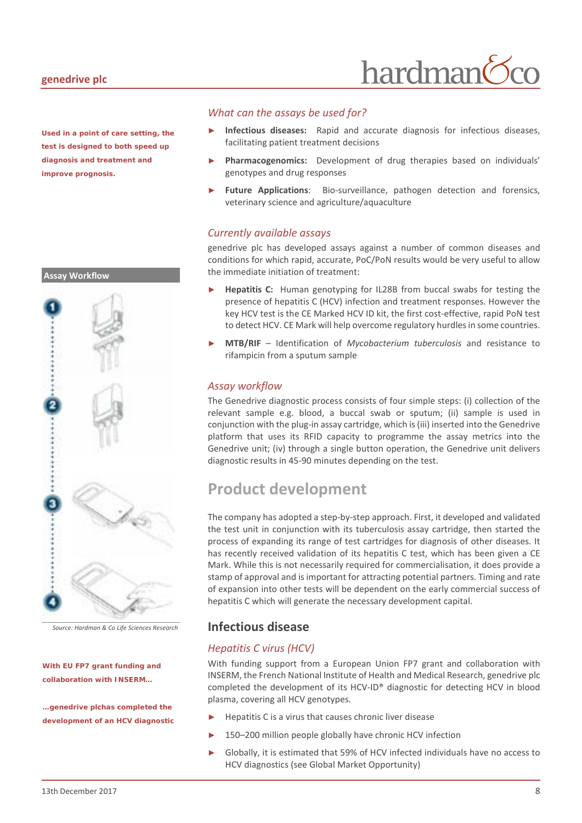#### **genedrive plc**

**Assay Workflow**

*Used in a point of care setting, the test is designed to both speed up diagnosis and treatment and improve prognosis.*



*Source: Hardman & Co Life Sciences Research*

#### *With EU FP7 grant funding and collaboration with INSERM…*

*…genedrive plchas completed the development of an HCV diagnostic*

#### *What can the assays be used for?*

Infectious diseases: Rapid and accurate diagnosis for infectious diseases, facilitating patient treatment decisions

hardman

- Pharmacogenomics: Development of drug therapies based on individuals' genotypes and drug responses
- Future Applications: Bio-surveillance, pathogen detection and forensics, veterinary science and agriculture/aquaculture

#### *Currently available assays*

genedrive plc has developed assays against a number of common diseases and conditions for which rapid, accurate, PoC/PoN results would be very useful to allow the immediate initiation of treatment:

- **Hepatitis C:** Human genotyping for IL28B from buccal swabs for testing the presence of hepatitis C (HCV) infection and treatment responses. However the key HCV test is the CE Marked HCV ID kit, the first cost-effective, rapid PoN test to detect HCV. CE Mark will help overcome regulatory hurdles in some countries.
- ► **MTB/RIF** Identification of *Mycobacterium tuberculosis* and resistance to rifampicin from a sputum sample

#### *Assay workflow*

The Genedrive diagnostic process consists of four simple steps: (i) collection of the relevant sample e.g. blood, a buccal swab or sputum; (ii) sample is used in conjunction with the plug-in assay cartridge, which is (iii) inserted into the Genedrive platform that uses its RFID capacity to programme the assay metrics into the Genedrive unit; (iv) through a single button operation, the Genedrive unit delivers diagnostic results in 45-90 minutes depending on the test.

### <span id="page-7-0"></span>**Product development**

The company has adopted a step-by-step approach. First, it developed and validated the test unit in conjunction with its tuberculosis assay cartridge, then started the process of expanding its range of test cartridges for diagnosis of other diseases. It has recently received validation of its hepatitis C test, which has been given a CE Mark. While this is not necessarily required for commercialisation, it does provide a stamp of approval and is important for attracting potential partners. Timing and rate of expansion into other tests will be dependent on the early commercial success of hepatitis C which will generate the necessary development capital.

#### **Infectious disease**

#### *Hepatitis C virus (HCV)*

With funding support from a European Union FP7 grant and collaboration with INSERM, the French National Institute of Health and Medical Research, genedrive plc completed the development of its HCV-ID® diagnostic for detecting HCV in blood plasma, covering all HCV genotypes.

- Hepatitis C is a virus that causes chronic liver disease
- 150–200 million people globally have chronic HCV infection
- Globally, it is estimated that 59% of HCV infected individuals have no access to HCV diagnostics (see Global Market Opportunity)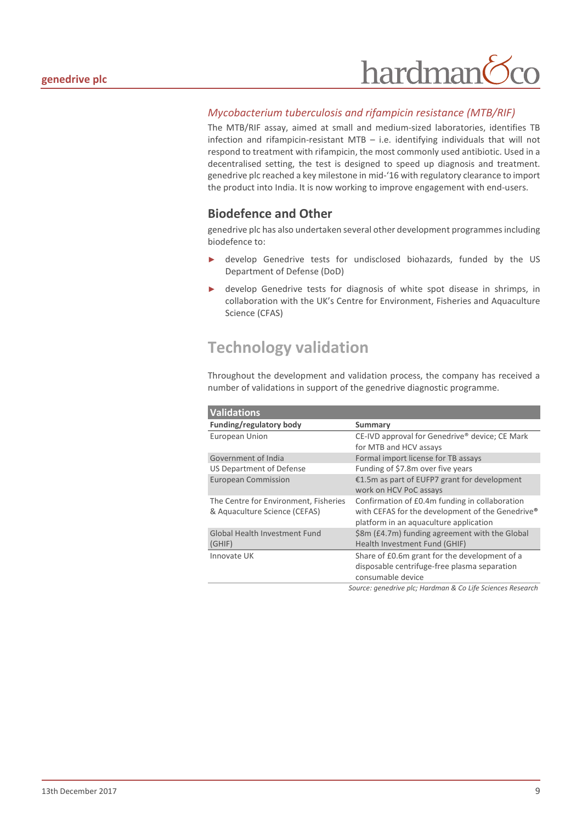## hardman

#### *Mycobacterium tuberculosis and rifampicin resistance (MTB/RIF)*

The MTB/RIF assay, aimed at small and medium-sized laboratories, identifies TB infection and rifampicin-resistant MTB – i.e. identifying individuals that will not respond to treatment with rifampicin, the most commonly used antibiotic. Used in a decentralised setting, the test is designed to speed up diagnosis and treatment. genedrive plc reached a key milestone in mid-'16 with regulatory clearance to import the product into India. It is now working to improve engagement with end-users.

#### **Biodefence and Other**

genedrive plc has also undertaken several other development programmes including biodefence to:

- ► develop Genedrive tests for undisclosed biohazards, funded by the US Department of Defense (DoD)
- develop Genedrive tests for diagnosis of white spot disease in shrimps, in collaboration with the UK's Centre for Environment, Fisheries and Aquaculture Science (CFAS)

## <span id="page-8-0"></span>**Technology validation**

Throughout the development and validation process, the company has received a number of validations in support of the genedrive diagnostic programme.

| <b>Validations</b>                    |                                                            |
|---------------------------------------|------------------------------------------------------------|
| Funding/regulatory body               | Summary                                                    |
| European Union                        | CE-IVD approval for Genedrive® device; CE Mark             |
|                                       | for MTB and HCV assays                                     |
| Government of India                   | Formal import license for TB assays                        |
| US Department of Defense              | Funding of \$7.8m over five years                          |
| <b>European Commission</b>            | €1.5m as part of EUFP7 grant for development               |
|                                       | work on HCV PoC assays                                     |
| The Centre for Environment, Fisheries | Confirmation of £0.4m funding in collaboration             |
| & Aquaculture Science (CEFAS)         | with CEFAS for the development of the Genedrive®           |
|                                       | platform in an aquaculture application                     |
| <b>Global Health Investment Fund</b>  | \$8m (£4.7m) funding agreement with the Global             |
| (GHIF)                                | Health Investment Fund (GHIF)                              |
| Innovate UK                           | Share of £0.6m grant for the development of a              |
|                                       | disposable centrifuge-free plasma separation               |
|                                       | consumable device                                          |
|                                       | Source: genedrive plc; Hardman & Co Life Sciences Research |

13th December 2017 9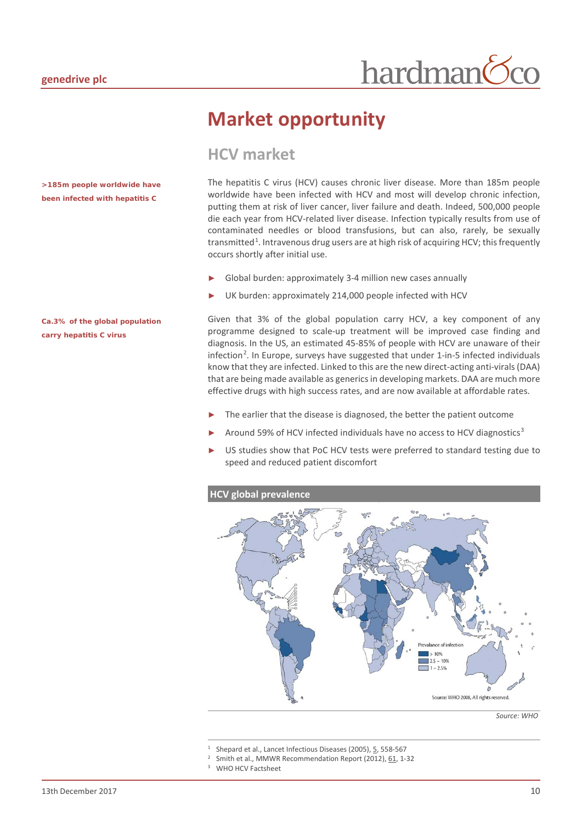## <span id="page-9-0"></span>**Market opportunity**

### <span id="page-9-1"></span>**HCV market**

The hepatitis C virus (HCV) causes chronic liver disease. More than 185m people worldwide have been infected with HCV and most will develop chronic infection, putting them at risk of liver cancer, liver failure and death. Indeed, 500,000 people die each year from HCV-related liver disease. Infection typically results from use of contaminated needles or blood transfusions, but can also, rarely, be sexually transmitted<sup>[1](#page-9-2)</sup>. Intravenous drug users are at high risk of acquiring HCV; this frequently occurs shortly after initial use.

- Global burden: approximately 3-4 million new cases annually
- UK burden: approximately 214,000 people infected with HCV

Given that 3% of the global population carry HCV, a key component of any programme designed to scale-up treatment will be improved case finding and diagnosis. In the US, an estimated 45-85% of people with HCV are unaware of their infection<sup>[2](#page-9-3)</sup>. In Europe, surveys have suggested that under 1-in-5 infected individuals know that they are infected. Linked to this are the new direct-acting anti-virals(DAA) that are being made available as generics in developing markets. DAA are much more effective drugs with high success rates, and are now available at affordable rates.

- The earlier that the disease is diagnosed, the better the patient outcome
- Around 59% of HCV infected individuals have no access to HCV diagnostics<sup>[3](#page-9-4)</sup>
- US studies show that PoC HCV tests were preferred to standard testing due to speed and reduced patient discomfort

#### **HCV global prevalence**



*Source: WHO*

WHO HCV Factsheet

*>185m people worldwide have been infected with hepatitis C*

#### *Ca.3% of the global population carry hepatitis C virus*

<sup>&</sup>lt;sup>1</sup> Shepard et al., Lancet Infectious Diseases (2005),  $\frac{5}{2}$ , 558-567<br><sup>2</sup> Smith et al., MMWP Recommendation Report (2012), 61, 1-3

<span id="page-9-4"></span><span id="page-9-3"></span><span id="page-9-2"></span>Smith et al., MMWR Recommendation Report (2012), 61, 1-32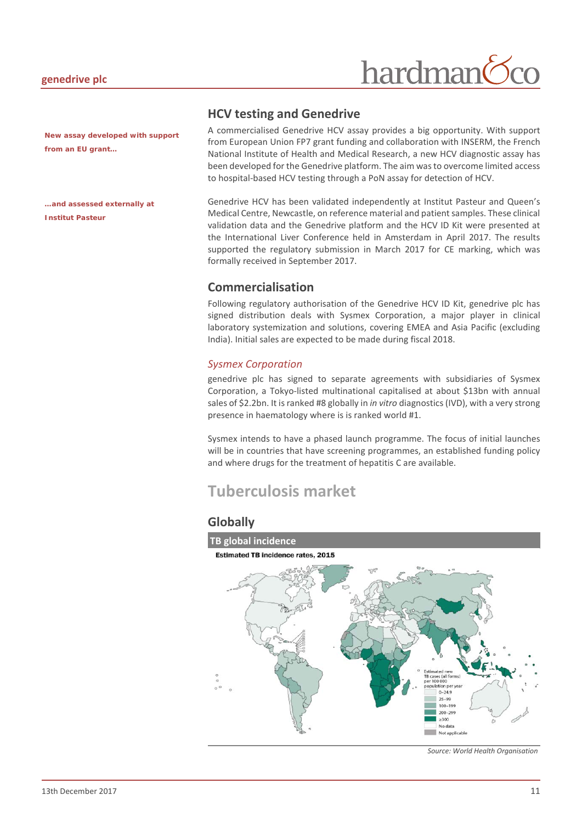## hardman

*New assay developed with support from an EU grant…*

*…and assessed externally at Institut Pasteur*

#### **HCV testing and Genedrive**

A commercialised Genedrive HCV assay provides a big opportunity. With support from European Union FP7 grant funding and collaboration with INSERM, the French National Institute of Health and Medical Research, a new HCV diagnostic assay has been developed for the Genedrive platform. The aim was to overcome limited access to hospital-based HCV testing through a PoN assay for detection of HCV.

Genedrive HCV has been validated independently at Institut Pasteur and Queen's Medical Centre, Newcastle, on reference material and patient samples. These clinical validation data and the Genedrive platform and the HCV ID Kit were presented at the International Liver Conference held in Amsterdam in April 2017. The results supported the regulatory submission in March 2017 for CE marking, which was formally received in September 2017.

#### **Commercialisation**

Following regulatory authorisation of the Genedrive HCV ID Kit, genedrive plc has signed distribution deals with Sysmex Corporation, a major player in clinical laboratory systemization and solutions, covering EMEA and Asia Pacific (excluding India). Initial sales are expected to be made during fiscal 2018.

#### *Sysmex Corporation*

genedrive plc has signed to separate agreements with subsidiaries of Sysmex Corporation, a Tokyo-listed multinational capitalised at about \$13bn with annual sales of \$2.2bn. It is ranked #8 globally in *in vitro* diagnostics (IVD), with a very strong presence in haematology where is is ranked world #1.

Sysmex intends to have a phased launch programme. The focus of initial launches will be in countries that have screening programmes, an established funding policy and where drugs for the treatment of hepatitis C are available.

## <span id="page-10-0"></span>**Tuberculosis market**

#### **Globally**



*Source: World Health Organisation*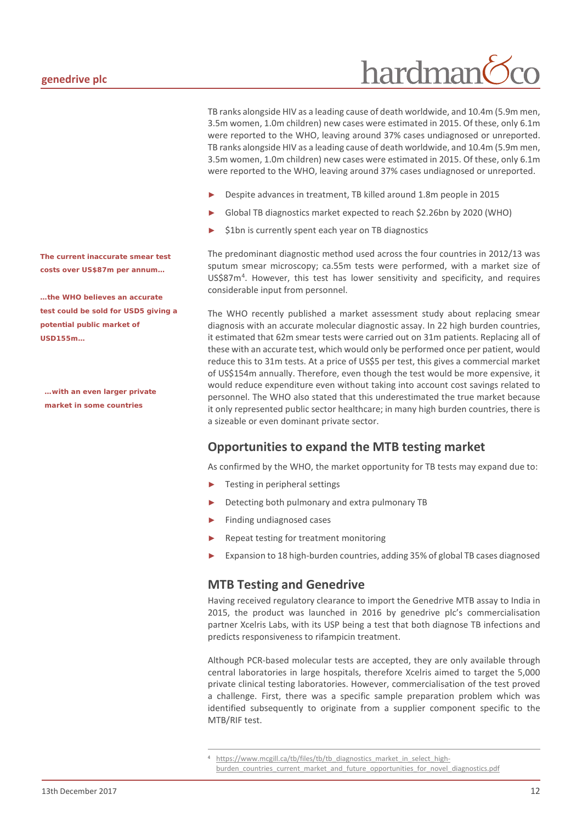TB ranks alongside HIV as a leading cause of death worldwide, and 10.4m (5.9m men, 3.5m women, 1.0m children) new cases were estimated in 2015. Of these, only 6.1m were reported to the WHO, leaving around 37% cases undiagnosed or unreported. TB ranks alongside HIV as a leading cause of death worldwide, and 10.4m (5.9m men, 3.5m women, 1.0m children) new cases were estimated in 2015. Of these, only 6.1m were reported to the WHO, leaving around 37% cases undiagnosed or unreported.

- Despite advances in treatment, TB killed around 1.8m people in 2015
- Global TB diagnostics market expected to reach \$2.26bn by 2020 (WHO)
- \$1bn is currently spent each year on TB diagnostics

The predominant diagnostic method used across the four countries in 2012/13 was sputum smear microscopy; ca.55m tests were performed, with a market size of US\$87m[4](#page-11-0) . However, this test has lower sensitivity and specificity, and requires considerable input from personnel.

The WHO recently published a market assessment study about replacing smear diagnosis with an accurate molecular diagnostic assay. In 22 high burden countries, it estimated that 62m smear tests were carried out on 31m patients. Replacing all of these with an accurate test, which would only be performed once per patient, would reduce this to 31m tests. At a price of US\$5 per test, this gives a commercial market of US\$154m annually. Therefore, even though the test would be more expensive, it would reduce expenditure even without taking into account cost savings related to personnel. The WHO also stated that this underestimated the true market because it only represented public sector healthcare; in many high burden countries, there is a sizeable or even dominant private sector.

#### **Opportunities to expand the MTB testing market**

As confirmed by the WHO, the market opportunity for TB tests may expand due to:

- Testing in peripheral settings
- Detecting both pulmonary and extra pulmonary TB
- ► Finding undiagnosed cases
- Repeat testing for treatment monitoring
- Expansion to 18 high-burden countries, adding 35% of global TB cases diagnosed

#### **MTB Testing and Genedrive**

Having received regulatory clearance to import the Genedrive MTB assay to India in 2015, the product was launched in 2016 by genedrive plc's commercialisation partner Xcelris Labs, with its USP being a test that both diagnose TB infections and predicts responsiveness to rifampicin treatment.

Although PCR-based molecular tests are accepted, they are only available through central laboratories in large hospitals, therefore Xcelris aimed to target the 5,000 private clinical testing laboratories. However, commercialisation of the test proved a challenge. First, there was a specific sample preparation problem which was identified subsequently to originate from a supplier component specific to the MTB/RIF test.

*The current inaccurate smear test costs over US\$87m per annum…*

*…the WHO believes an accurate test could be sold for USD5 giving a potential public market of USD155m…*

*…with an even larger private market in some countries*

<span id="page-11-0"></span><sup>&</sup>lt;sup>4</sup> [https://www.mcgill.ca/tb/files/tb/tb\\_diagnostics\\_market\\_in\\_select\\_high](https://www.mcgill.ca/tb/files/tb/tb_diagnostics_market_in_select_high-burden_countries_current_market_and_future_opportunities_for_novel_diagnostics.pdf)burden countries current market and future opportunities for novel diagnostics.pdf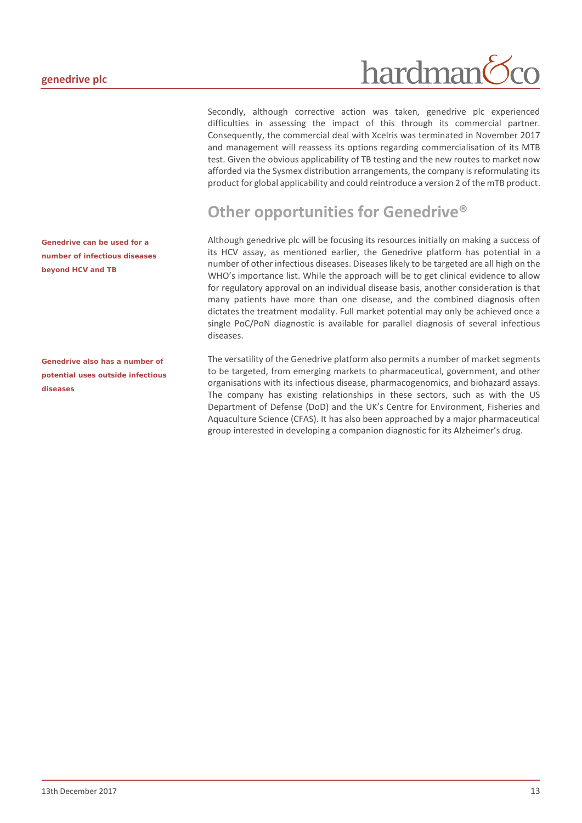*Genedrive can be used for a number of infectious diseases beyond HCV and TB*

*Genedrive also has a number of potential uses outside infectious diseases*

## hardman

Secondly, although corrective action was taken, genedrive plc experienced difficulties in assessing the impact of this through its commercial partner. Consequently, the commercial deal with Xcelris was terminated in November 2017 and management will reassess its options regarding commercialisation of its MTB test. Given the obvious applicability of TB testing and the new routes to market now afforded via the Sysmex distribution arrangements, the company is reformulating its product for global applicability and could reintroduce a version 2 of the mTB product.

## <span id="page-12-0"></span>**Other opportunities for Genedrive®**

Although genedrive plc will be focusing its resources initially on making a success of its HCV assay, as mentioned earlier, the Genedrive platform has potential in a number of other infectious diseases. Diseases likely to be targeted are all high on the WHO's importance list. While the approach will be to get clinical evidence to allow for regulatory approval on an individual disease basis, another consideration is that many patients have more than one disease, and the combined diagnosis often dictates the treatment modality. Full market potential may only be achieved once a single PoC/PoN diagnostic is available for parallel diagnosis of several infectious diseases.

The versatility of the Genedrive platform also permits a number of market segments to be targeted, from emerging markets to pharmaceutical, government, and other organisations with its infectious disease, pharmacogenomics, and biohazard assays. The company has existing relationships in these sectors, such as with the US Department of Defense (DoD) and the UK's Centre for Environment, Fisheries and Aquaculture Science (CFAS). It has also been approached by a major pharmaceutical group interested in developing a companion diagnostic for its Alzheimer's drug.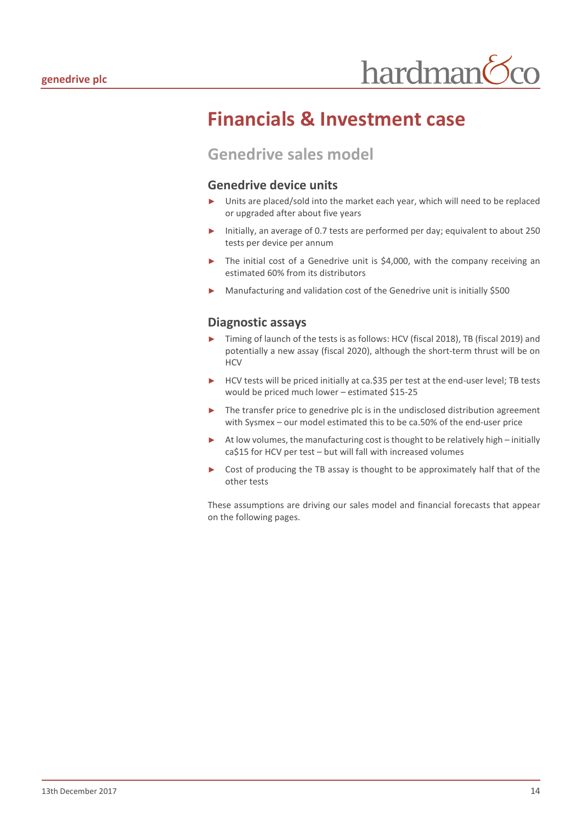## <span id="page-13-0"></span>**Financials & Investment case**

### <span id="page-13-1"></span>**Genedrive sales model**

#### **Genedrive device units**

- ► Units are placed/sold into the market each year, which will need to be replaced or upgraded after about five years
- Initially, an average of 0.7 tests are performed per day; equivalent to about 250 tests per device per annum
- The initial cost of a Genedrive unit is \$4,000, with the company receiving an estimated 60% from its distributors
- Manufacturing and validation cost of the Genedrive unit is initially \$500

#### **Diagnostic assays**

- Timing of launch of the tests is as follows: HCV (fiscal 2018), TB (fiscal 2019) and potentially a new assay (fiscal 2020), although the short-term thrust will be on **HCV**
- ► HCV tests will be priced initially at ca.\$35 per test at the end-user level; TB tests would be priced much lower – estimated \$15-25
- ► The transfer price to genedrive plc is in the undisclosed distribution agreement with Sysmex – our model estimated this to be ca.50% of the end-user price
- ► At low volumes, the manufacturing cost is thought to be relatively high initially ca\$15 for HCV per test – but will fall with increased volumes
- ► Cost of producing the TB assay is thought to be approximately half that of the other tests

These assumptions are driving our sales model and financial forecasts that appear on the following pages.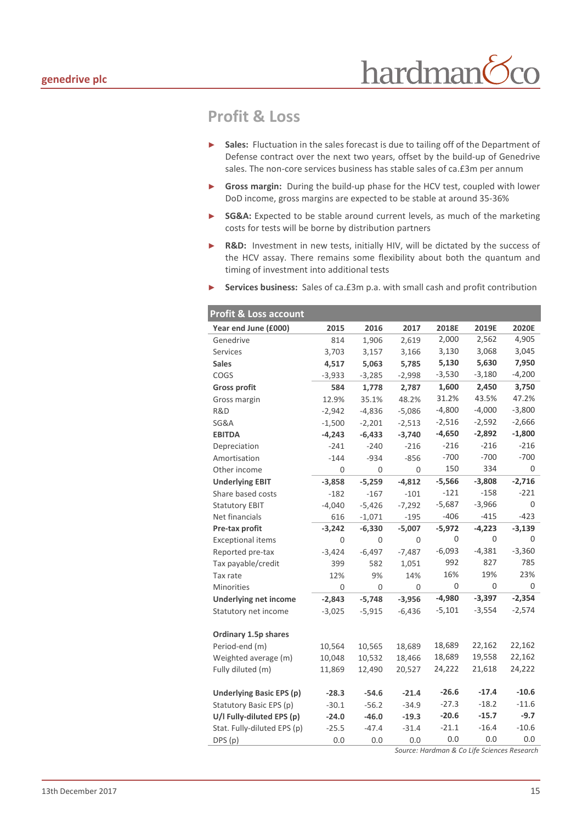## <span id="page-14-0"></span>**Profit & Loss**

- Sales: Fluctuation in the sales forecast is due to tailing off of the Department of Defense contract over the next two years, offset by the build-up of Genedrive sales. The non-core services business has stable sales of ca.£3m per annum
- ► **Gross margin:** During the build-up phase for the HCV test, coupled with lower DoD income, gross margins are expected to be stable at around 35-36%
- ► SG&A: Expected to be stable around current levels, as much of the marketing costs for tests will be borne by distribution partners
- ► **R&D:** Investment in new tests, initially HIV, will be dictated by the success of the HCV assay. There remains some flexibility about both the quantum and timing of investment into additional tests
- Services business: Sales of ca.£3m p.a. with small cash and profit contribution

| Profit & Loss account           |          |          |          |          |          |          |  |  |
|---------------------------------|----------|----------|----------|----------|----------|----------|--|--|
| Year end June (£000)            | 2015     | 2016     | 2017     | 2018E    | 2019E    | 2020E    |  |  |
| Genedrive                       | 814      | 1,906    | 2,619    | 2,000    | 2,562    | 4,905    |  |  |
| <b>Services</b>                 | 3,703    | 3,157    | 3,166    | 3,130    | 3,068    | 3,045    |  |  |
| <b>Sales</b>                    | 4,517    | 5,063    | 5,785    | 5,130    | 5,630    | 7,950    |  |  |
| COGS                            | $-3,933$ | $-3,285$ | -2,998   | $-3,530$ | $-3,180$ | $-4,200$ |  |  |
| <b>Gross profit</b>             | 584      | 1,778    | 2,787    | 1,600    | 2,450    | 3,750    |  |  |
| Gross margin                    | 12.9%    | 35.1%    | 48.2%    | 31.2%    | 43.5%    | 47.2%    |  |  |
| R&D                             | $-2,942$ | $-4,836$ | $-5,086$ | $-4,800$ | $-4,000$ | $-3,800$ |  |  |
| SG&A                            | $-1,500$ | $-2,201$ | $-2,513$ | $-2,516$ | $-2,592$ | $-2,666$ |  |  |
| <b>EBITDA</b>                   | $-4,243$ | $-6,433$ | $-3,740$ | $-4,650$ | $-2,892$ | $-1,800$ |  |  |
| Depreciation                    | $-241$   | $-240$   | $-216$   | $-216$   | $-216$   | $-216$   |  |  |
| Amortisation                    | $-144$   | $-934$   | $-856$   | $-700$   | $-700$   | $-700$   |  |  |
| Other income                    | 0        | 0        | 0        | 150      | 334      | 0        |  |  |
| <b>Underlying EBIT</b>          | $-3,858$ | $-5,259$ | $-4,812$ | $-5,566$ | $-3,808$ | $-2,716$ |  |  |
| Share based costs               | $-182$   | $-167$   | $-101$   | $-121$   | $-158$   | $-221$   |  |  |
| <b>Statutory EBIT</b>           | $-4,040$ | $-5,426$ | $-7,292$ | $-5,687$ | $-3,966$ | $\Omega$ |  |  |
| Net financials                  | 616      | $-1,071$ | $-195$   | $-406$   | $-415$   | $-423$   |  |  |
| Pre-tax profit                  | $-3,242$ | $-6,330$ | $-5,007$ | $-5,972$ | $-4,223$ | $-3,139$ |  |  |
| <b>Exceptional items</b>        | 0        | 0        | 0        | 0        | 0        | 0        |  |  |
| Reported pre-tax                | $-3,424$ | $-6,497$ | $-7,487$ | $-6,093$ | $-4,381$ | $-3,360$ |  |  |
| Tax payable/credit              | 399      | 582      | 1,051    | 992      | 827      | 785      |  |  |
| Tax rate                        | 12%      | 9%       | 14%      | 16%      | 19%      | 23%      |  |  |
| <b>Minorities</b>               | 0        | 0        | 0        | 0        | 0        | 0        |  |  |
| <b>Underlying net income</b>    | $-2,843$ | $-5,748$ | $-3,956$ | $-4,980$ | $-3,397$ | $-2,354$ |  |  |
| Statutory net income            | $-3,025$ | $-5,915$ | $-6,436$ | $-5,101$ | $-3,554$ | $-2,574$ |  |  |
|                                 |          |          |          |          |          |          |  |  |
| Ordinary 1.5p shares            |          |          |          |          |          |          |  |  |
| Period-end (m)                  | 10,564   | 10,565   | 18,689   | 18,689   | 22,162   | 22,162   |  |  |
| Weighted average (m)            | 10,048   | 10,532   | 18,466   | 18,689   | 19,558   | 22,162   |  |  |
| Fully diluted (m)               | 11,869   | 12,490   | 20,527   | 24,222   | 21,618   | 24,222   |  |  |
| <b>Underlying Basic EPS (p)</b> | $-28.3$  | $-54.6$  | $-21.4$  | $-26.6$  | $-17.4$  | $-10.6$  |  |  |
| Statutory Basic EPS (p)         | $-30.1$  | $-56.2$  | $-34.9$  | $-27.3$  | $-18.2$  | $-11.6$  |  |  |
| U/I Fully-diluted EPS (p)       | $-24.0$  | $-46.0$  | $-19.3$  | $-20.6$  | $-15.7$  | $-9.7$   |  |  |
| Stat. Fully-diluted EPS (p)     | $-25.5$  | $-47.4$  | $-31.4$  | $-21.1$  | $-16.4$  | $-10.6$  |  |  |
| DPS (p)                         | 0.0      | 0.0      | 0.0      | 0.0      | 0.0      | 0.0      |  |  |
|                                 |          |          |          |          |          |          |  |  |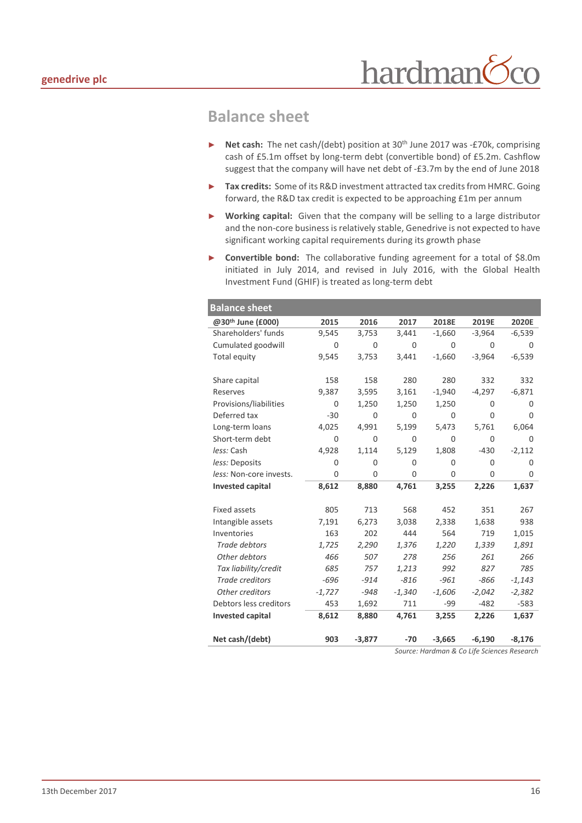#### <span id="page-15-0"></span>**Balance sheet**

- ► **Net cash:** The net cash/(debt) position at 30th June 2017 was -£70k, comprising cash of £5.1m offset by long-term debt (convertible bond) of £5.2m. Cashflow suggest that the company will have net debt of -£3.7m by the end of June 2018
- Tax credits: Some of its R&D investment attracted tax credits from HMRC. Going forward, the R&D tax credit is expected to be approaching £1m per annum
- ► **Working capital:** Given that the company will be selling to a large distributor and the non-core business is relatively stable, Genedrive is not expected to have significant working capital requirements during its growth phase
- ► **Convertible bond:** The collaborative funding agreement for a total of \$8.0m initiated in July 2014, and revised in July 2016, with the Global Health Investment Fund (GHIF) is treated as long-term debt

| <b>Balance sheet</b>          |             |             |          |          |          |          |
|-------------------------------|-------------|-------------|----------|----------|----------|----------|
| @30 <sup>th</sup> June (£000) | 2015        | 2016        | 2017     | 2018E    | 2019E    | 2020E    |
| Shareholders' funds           | 9,545       | 3,753       | 3,441    | $-1,660$ | $-3,964$ | $-6,539$ |
| Cumulated goodwill            | $\Omega$    | 0           | $\Omega$ | $\Omega$ | $\Omega$ | $\Omega$ |
| Total equity                  | 9,545       | 3,753       | 3,441    | $-1,660$ | $-3,964$ | $-6,539$ |
| Share capital                 | 158         | 158         | 280      | 280      | 332      | 332      |
| Reserves                      | 9,387       | 3,595       | 3,161    | $-1,940$ | $-4,297$ | $-6,871$ |
| Provisions/liabilities        | $\Omega$    | 1,250       | 1,250    | 1,250    | $\Omega$ | $\Omega$ |
| Deferred tax                  | $-30$       | $\Omega$    | $\Omega$ | 0        | $\Omega$ | 0        |
| Long-term loans               | 4,025       | 4,991       | 5,199    | 5,473    | 5,761    | 6,064    |
| Short-term debt               | 0           | $\mathbf 0$ | $\Omega$ | 0        | 0        | $\Omega$ |
| less: Cash                    | 4,928       | 1,114       | 5,129    | 1,808    | $-430$   | $-2,112$ |
| less: Deposits                | 0           | 0           | 0        | 0        | 0        | 0        |
| less: Non-core invests.       | $\mathbf 0$ | $\mathbf 0$ | 0        | 0        | 0        | 0        |
| <b>Invested capital</b>       | 8,612       | 8,880       | 4,761    | 3,255    | 2,226    | 1,637    |
| <b>Fixed assets</b>           | 805         | 713         | 568      | 452      | 351      | 267      |
| Intangible assets             | 7,191       | 6,273       | 3,038    | 2,338    | 1,638    | 938      |
| Inventories                   | 163         | 202         | 444      | 564      | 719      | 1,015    |
| Trade debtors                 | 1,725       | 2,290       | 1,376    | 1,220    | 1,339    | 1,891    |
| Other debtors                 | 466         | 507         | 278      | 256      | 261      | 266      |
| Tax liability/credit          | 685         | 757         | 1,213    | 992      | 827      | 785      |
| Trade creditors               | -696        | $-914$      | $-816$   | $-961$   | -866     | $-1,143$ |
| Other creditors               | $-1,727$    | $-948$      | $-1,340$ | $-1,606$ | $-2,042$ | $-2,382$ |
| Debtors less creditors        | 453         | 1,692       | 711      | -99      | $-482$   | $-583$   |
| <b>Invested capital</b>       | 8,612       | 8,880       | 4,761    | 3,255    | 2,226    | 1,637    |
| Net cash/(debt)               | 903         | $-3,877$    | -70      | $-3,665$ | $-6,190$ | $-8,176$ |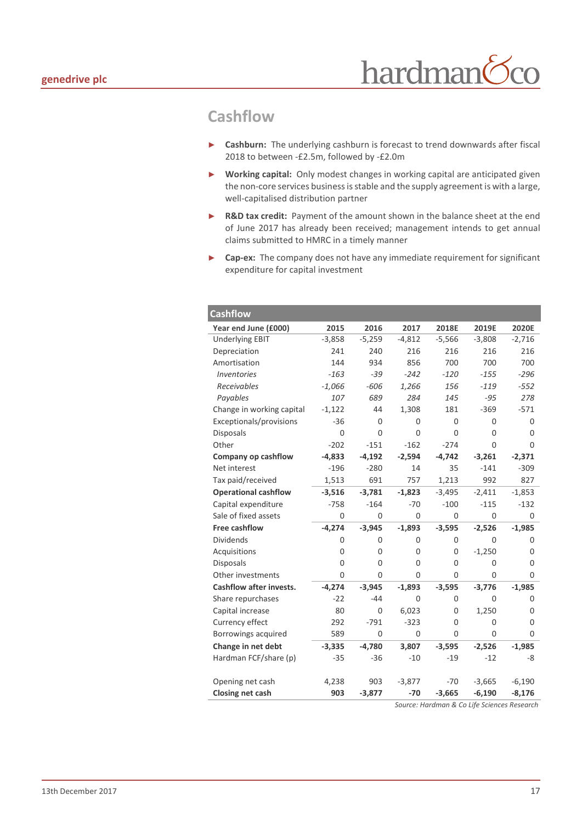## <span id="page-16-0"></span>**Cashflow**

- ► **Cashburn:** The underlying cashburn is forecast to trend downwards after fiscal 2018 to between -£2.5m, followed by -£2.0m
- ► **Working capital:** Only modest changes in working capital are anticipated given the non-core services business is stable and the supply agreement is with a large, well-capitalised distribution partner
- ► **R&D tax credit:** Payment of the amount shown in the balance sheet at the end of June 2017 has already been received; management intends to get annual claims submitted to HMRC in a timely manner
- ► **Cap-ex:** The company does not have any immediate requirement for significant expenditure for capital investment

| <b>Cashflow</b>                  |          |          |             |          |          |             |
|----------------------------------|----------|----------|-------------|----------|----------|-------------|
| Year end June (£000)             | 2015     | 2016     | 2017        | 2018E    | 2019E    | 2020E       |
| <b>Underlying EBIT</b>           | $-3,858$ | $-5,259$ | $-4,812$    | $-5,566$ | $-3,808$ | $-2,716$    |
| Depreciation                     | 241      | 240      | 216         | 216      | 216      | 216         |
| Amortisation                     | 144      | 934      | 856         | 700      | 700      | 700         |
| <i><u><b>Inventories</b></u></i> | $-163$   | $-39$    | $-242$      | $-120$   | $-155$   | $-296$      |
| Receivables                      | $-1,066$ | $-606$   | 1,266       | 156      | $-119$   | $-552$      |
| Payables                         | 107      | 689      | 284         | 145      | $-95$    | 278         |
| Change in working capital        | $-1,122$ | 44       | 1,308       | 181      | $-369$   | $-571$      |
| Exceptionals/provisions          | $-36$    | 0        | 0           | 0        | 0        | 0           |
| <b>Disposals</b>                 | 0        | $\Omega$ | $\mathbf 0$ | 0        | 0        | 0           |
| Other                            | $-202$   | $-151$   | $-162$      | $-274$   | 0        | 0           |
| Company op cashflow              | $-4,833$ | $-4,192$ | $-2,594$    | $-4,742$ | $-3,261$ | $-2,371$    |
| Net interest                     | $-196$   | $-280$   | 14          | 35       | $-141$   | $-309$      |
| Tax paid/received                | 1,513    | 691      | 757         | 1,213    | 992      | 827         |
| <b>Operational cashflow</b>      | $-3,516$ | $-3,781$ | $-1,823$    | $-3,495$ | $-2,411$ | $-1,853$    |
| Capital expenditure              | $-758$   | $-164$   | $-70$       | $-100$   | $-115$   | $-132$      |
| Sale of fixed assets             | $\Omega$ | $\Omega$ | $\Omega$    | $\Omega$ | $\Omega$ | 0           |
| <b>Free cashflow</b>             | $-4,274$ | $-3,945$ | $-1,893$    | $-3,595$ | $-2,526$ | $-1,985$    |
| <b>Dividends</b>                 | 0        | 0        | 0           | 0        | 0        | 0           |
| Acquisitions                     | 0        | 0        | 0           | 0        | $-1,250$ | 0           |
| <b>Disposals</b>                 | 0        | 0        | 0           | 0        | 0        | 0           |
| Other investments                | $\Omega$ | 0        | $\Omega$    | $\Omega$ | 0        | 0           |
| <b>Cashflow after invests.</b>   | $-4,274$ | $-3,945$ | $-1,893$    | $-3,595$ | $-3,776$ | $-1,985$    |
| Share repurchases                | $-22$    | $-44$    | 0           | 0        | 0        | 0           |
| Capital increase                 | 80       | 0        | 6,023       | 0        | 1,250    | 0           |
| Currency effect                  | 292      | $-791$   | $-323$      | 0        | 0        | $\mathbf 0$ |
| Borrowings acquired              | 589      | $\Omega$ | $\Omega$    | 0        | 0        | 0           |
| Change in net debt               | $-3,335$ | $-4,780$ | 3,807       | $-3,595$ | $-2,526$ | $-1,985$    |
| Hardman FCF/share (p)            | $-35$    | $-36$    | $-10$       | $-19$    | $-12$    | -8          |
|                                  |          |          |             |          |          |             |
| Opening net cash                 | 4,238    | 903      | $-3,877$    | $-70$    | $-3,665$ | $-6,190$    |
| Closing net cash                 | 903      | $-3,877$ | $-70$       | $-3,665$ | $-6,190$ | $-8,176$    |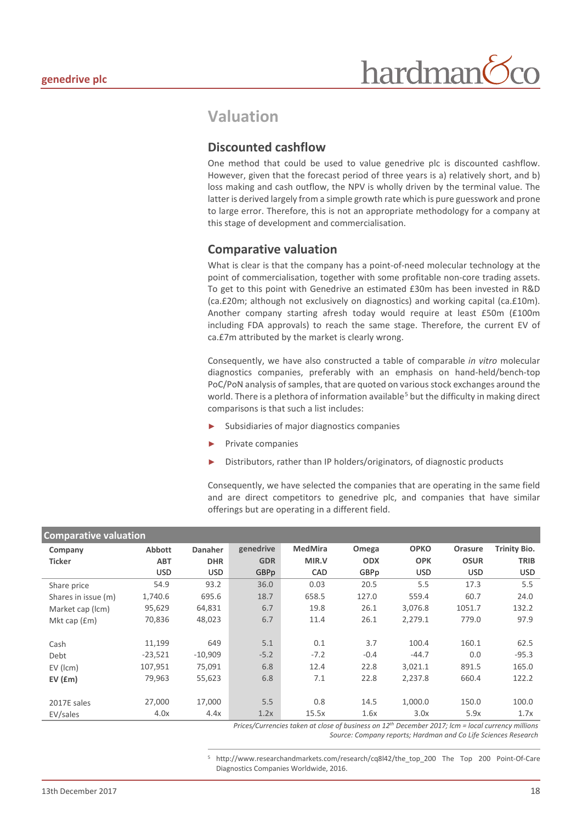#### <span id="page-17-0"></span>**Valuation**

#### **Discounted cashflow**

One method that could be used to value genedrive plc is discounted cashflow. However, given that the forecast period of three years is a) relatively short, and b) loss making and cash outflow, the NPV is wholly driven by the terminal value. The latter is derived largely from a simple growth rate which is pure guesswork and prone to large error. Therefore, this is not an appropriate methodology for a company at this stage of development and commercialisation.

#### **Comparative valuation**

What is clear is that the company has a point-of-need molecular technology at the point of commercialisation, together with some profitable non-core trading assets. To get to this point with Genedrive an estimated £30m has been invested in R&D (ca.£20m; although not exclusively on diagnostics) and working capital (ca.£10m). Another company starting afresh today would require at least £50m (£100m including FDA approvals) to reach the same stage. Therefore, the current EV of ca.£7m attributed by the market is clearly wrong.

Consequently, we have also constructed a table of comparable *in vitro* molecular diagnostics companies, preferably with an emphasis on hand-held/bench-top PoC/PoN analysis of samples, that are quoted on various stock exchanges around the world. There is a plethora of information available<sup>[5](#page-17-1)</sup> but the difficulty in making direct comparisons is that such a list includes:

- Subsidiaries of major diagnostics companies
- ► Private companies
- Distributors, rather than IP holders/originators, of diagnostic products

Consequently, we have selected the companies that are operating in the same field and are direct competitors to genedrive plc, and companies that have similar offerings but are operating in a different field.

| <b>Comparative valuation</b> |               |            |            |                |            |             |             |                     |
|------------------------------|---------------|------------|------------|----------------|------------|-------------|-------------|---------------------|
| Company                      | <b>Abbott</b> | Danaher    | genedrive  | <b>MedMira</b> | Omega      | <b>OPKO</b> | Orasure     | <b>Trinity Bio.</b> |
| <b>Ticker</b>                | <b>ABT</b>    | <b>DHR</b> | <b>GDR</b> | MIR.V          | <b>ODX</b> | <b>OPK</b>  | <b>OSUR</b> | <b>TRIB</b>         |
|                              | <b>USD</b>    | <b>USD</b> | GBPp       | <b>CAD</b>     | GBPp       | <b>USD</b>  | <b>USD</b>  | <b>USD</b>          |
| Share price                  | 54.9          | 93.2       | 36.0       | 0.03           | 20.5       | 5.5         | 17.3        | 5.5                 |
| Shares in issue (m)          | 1,740.6       | 695.6      | 18.7       | 658.5          | 127.0      | 559.4       | 60.7        | 24.0                |
| Market cap (lcm)             | 95,629        | 64,831     | 6.7        | 19.8           | 26.1       | 3,076.8     | 1051.7      | 132.2               |
| Mkt cap $(fm)$               | 70,836        | 48,023     | 6.7        | 11.4           | 26.1       | 2,279.1     | 779.0       | 97.9                |
|                              |               |            |            |                |            |             |             |                     |
| Cash                         | 11,199        | 649        | 5.1        | 0.1            | 3.7        | 100.4       | 160.1       | 62.5                |
| Debt                         | $-23,521$     | $-10,909$  | $-5.2$     | $-7.2$         | $-0.4$     | $-44.7$     | 0.0         | $-95.3$             |
| $EV$ ( $lcm$ )               | 107,951       | 75,091     | 6.8        | 12.4           | 22.8       | 3,021.1     | 891.5       | 165.0               |
| EV(Em)                       | 79,963        | 55,623     | 6.8        | 7.1            | 22.8       | 2.237.8     | 660.4       | 122.2               |
|                              |               |            |            |                |            |             |             |                     |
| 2017E sales                  | 27,000        | 17,000     | 5.5        | 0.8            | 14.5       | 1,000.0     | 150.0       | 100.0               |
| EV/sales                     | 4.0x          | 4.4x       | 1.2x       | 15.5x          | 1.6x       | 3.0x        | 5.9x        | 1.7x                |

*Prices/Currencies taken at close of business on 12th December 2017; lcm = local currency millions Source: Company reports; Hardman and Co Life Sciences Research*

<span id="page-17-1"></span> 5 [http://www.researchandmarkets.com/research/cq8l42/the\\_top\\_200](http://www.researchandmarkets.com/research/cq8l42/the_top_200) The Top 200 Point-Of-Care Diagnostics Companies Worldwide, 2016.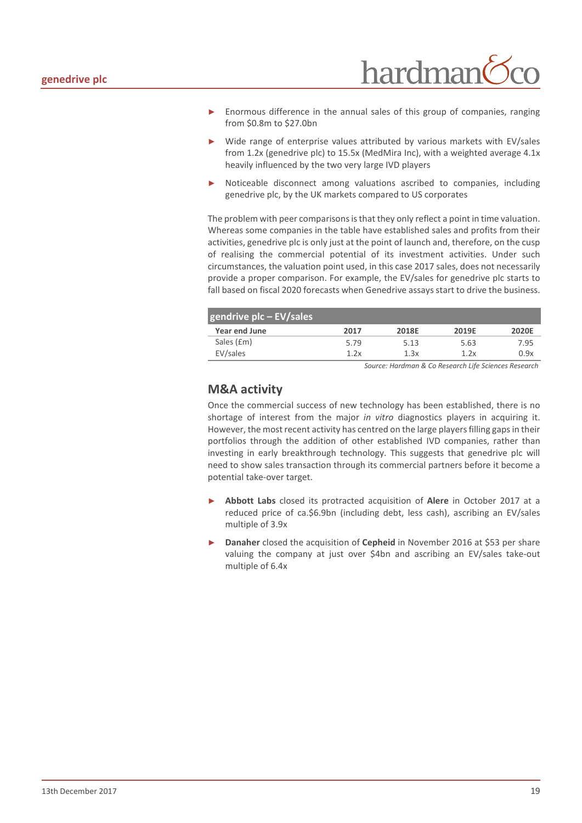

- Enormous difference in the annual sales of this group of companies, ranging from \$0.8m to \$27.0bn
- Wide range of enterprise values attributed by various markets with EV/sales from 1.2x (genedrive plc) to 15.5x (MedMira Inc), with a weighted average 4.1x heavily influenced by the two very large IVD players
- Noticeable disconnect among valuations ascribed to companies, including genedrive plc, by the UK markets compared to US corporates

The problem with peer comparisons is that they only reflect a point in time valuation. Whereas some companies in the table have established sales and profits from their activities, genedrive plc is only just at the point of launch and, therefore, on the cusp of realising the commercial potential of its investment activities. Under such circumstances, the valuation point used, in this case 2017 sales, does not necessarily provide a proper comparison. For example, the EV/sales for genedrive plc starts to fall based on fiscal 2020 forecasts when Genedrive assays start to drive the business.

| gendrive plc - EV/sales |      |       |       |              |
|-------------------------|------|-------|-------|--------------|
| Year end June           | 2017 | 2018E | 2019F | <b>2020E</b> |
| Sales (£m)              | 5.79 | 5.13  | 5.63  | 7.95         |
| EV/sales                | 1.2x | 1.3x  | 1.2x  | 0.9x         |

*Source: Hardman & Co Research Life Sciences Research*

#### **M&A activity**

Once the commercial success of new technology has been established, there is no shortage of interest from the major *in vitro* diagnostics players in acquiring it. However, the most recent activity has centred on the large players filling gaps in their portfolios through the addition of other established IVD companies, rather than investing in early breakthrough technology. This suggests that genedrive plc will need to show sales transaction through its commercial partners before it become a potential take-over target.

- ► **Abbott Labs** closed its protracted acquisition of **Alere** in October 2017 at a reduced price of ca.\$6.9bn (including debt, less cash), ascribing an EV/sales multiple of 3.9x
- ► **Danaher** closed the acquisition of **Cepheid** in November 2016 at \$53 per share valuing the company at just over \$4bn and ascribing an EV/sales take-out multiple of 6.4x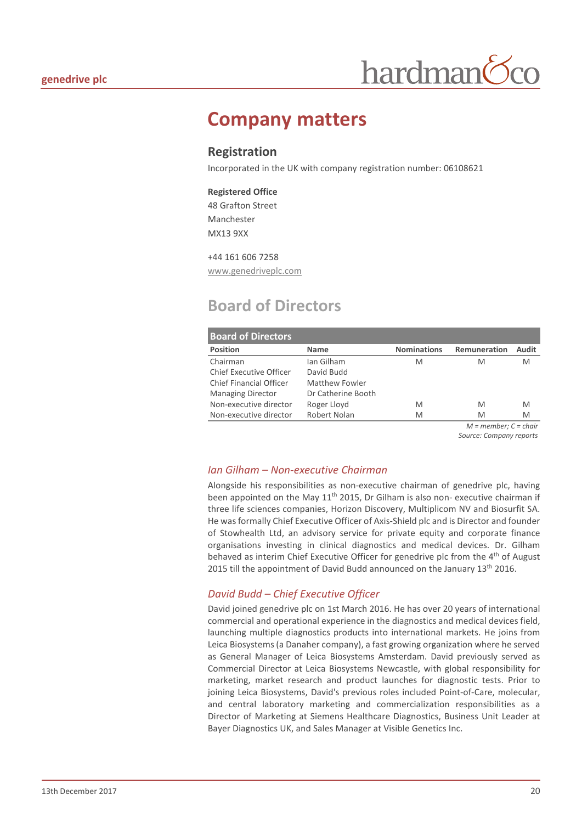

## <span id="page-19-0"></span>**Company matters**

#### **Registration**

Incorporated in the UK with company registration number: 06108621

#### **Registered Office**

48 Grafton Street Manchester MX13 9XX

#### +44 161 606 7258

www.genedriveplc.com

## <span id="page-19-1"></span>**Board of Directors**

| <b>Board of Directors</b>      |                    |                    |              |        |  |  |
|--------------------------------|--------------------|--------------------|--------------|--------|--|--|
| <b>Position</b>                | <b>Name</b>        | <b>Nominations</b> | Remuneration | Audit  |  |  |
| Chairman                       | Ian Gilham         | M                  | M            | M      |  |  |
| <b>Chief Executive Officer</b> | David Budd         |                    |              |        |  |  |
| Chief Financial Officer        | Matthew Fowler     |                    |              |        |  |  |
| <b>Managing Director</b>       | Dr Catherine Booth |                    |              |        |  |  |
| Non-executive director         | Roger Lloyd        | M                  | M            | M      |  |  |
| Non-executive director         | Robert Nolan       | M                  | M            | M<br>. |  |  |

*M = member; C = chair Source: Company reports*

#### *Ian Gilham – Non-executive Chairman*

Alongside his responsibilities as non-executive chairman of genedrive plc, having been appointed on the May  $11<sup>th</sup>$  2015, Dr Gilham is also non- executive chairman if three life sciences companies, Horizon Discovery, Multiplicom NV and Biosurfit SA. He was formally Chief Executive Officer of Axis-Shield plc and is Director and founder of Stowhealth Ltd, an advisory service for private equity and corporate finance organisations investing in clinical diagnostics and medical devices. Dr. Gilham behaved as interim Chief Executive Officer for genedrive plc from the 4<sup>th</sup> of August 2015 till the appointment of David Budd announced on the January 13<sup>th</sup> 2016.

#### *David Budd – Chief Executive Officer*

David joined genedrive plc on 1st March 2016. He has over 20 years of international commercial and operational experience in the diagnostics and medical devices field, launching multiple diagnostics products into international markets. He joins from Leica Biosystems (a Danaher company), a fast growing organization where he served as General Manager of Leica Biosystems Amsterdam. David previously served as Commercial Director at Leica Biosystems Newcastle, with global responsibility for marketing, market research and product launches for diagnostic tests. Prior to joining Leica Biosystems, David's previous roles included Point-of-Care, molecular, and central laboratory marketing and commercialization responsibilities as a Director of Marketing at Siemens Healthcare Diagnostics, Business Unit Leader at Bayer Diagnostics UK, and Sales Manager at Visible Genetics Inc.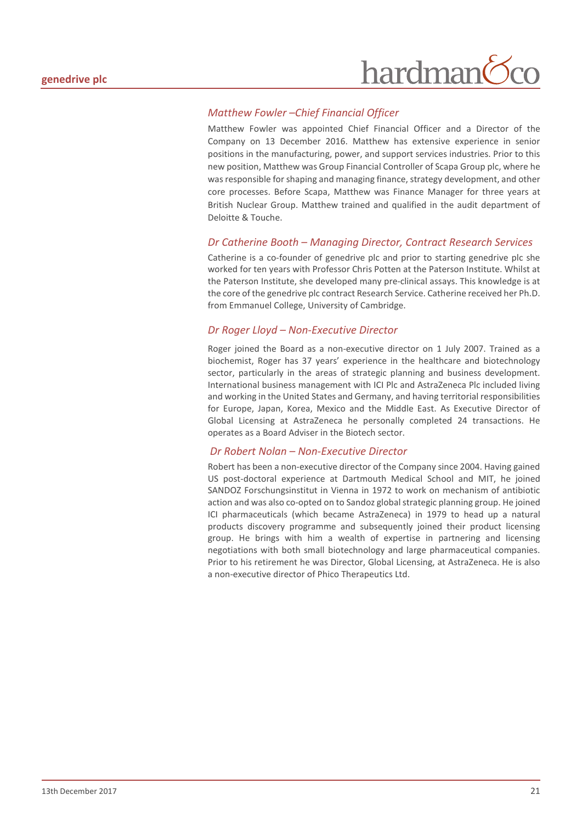## hardman

#### *Matthew Fowler –Chief Financial Officer*

Matthew Fowler was appointed Chief Financial Officer and a Director of the Company on 13 December 2016. Matthew has extensive experience in senior positions in the manufacturing, power, and support services industries. Prior to this new position, Matthew was Group Financial Controller of Scapa Group plc, where he was responsible for shaping and managing finance, strategy development, and other core processes. Before Scapa, Matthew was Finance Manager for three years at British Nuclear Group. Matthew trained and qualified in the audit department of Deloitte & Touche.

#### *Dr Catherine Booth – Managing Director, Contract Research Services*

Catherine is a co-founder of genedrive plc and prior to starting genedrive plc she worked for ten years with Professor Chris Potten at the Paterson Institute. Whilst at the Paterson Institute, she developed many pre-clinical assays. This knowledge is at the core of the genedrive plc contract Research Service. Catherine received her Ph.D. from Emmanuel College, University of Cambridge.

#### *Dr Roger Lloyd – Non-Executive Director*

Roger joined the Board as a non-executive director on 1 July 2007. Trained as a biochemist, Roger has 37 years' experience in the healthcare and biotechnology sector, particularly in the areas of strategic planning and business development. International business management with ICI Plc and AstraZeneca Plc included living and working in the United States and Germany, and having territorial responsibilities for Europe, Japan, Korea, Mexico and the Middle East. As Executive Director of Global Licensing at AstraZeneca he personally completed 24 transactions. He operates as a Board Adviser in the Biotech sector.

#### *Dr Robert Nolan – Non-Executive Director*

Robert has been a non-executive director of the Company since 2004. Having gained US post-doctoral experience at Dartmouth Medical School and MIT, he joined SANDOZ Forschungsinstitut in Vienna in 1972 to work on mechanism of antibiotic action and was also co-opted on to Sandoz global strategic planning group. He joined ICI pharmaceuticals (which became AstraZeneca) in 1979 to head up a natural products discovery programme and subsequently joined their product licensing group. He brings with him a wealth of expertise in partnering and licensing negotiations with both small biotechnology and large pharmaceutical companies. Prior to his retirement he was Director, Global Licensing, at AstraZeneca. He is also a non-executive director of Phico Therapeutics Ltd.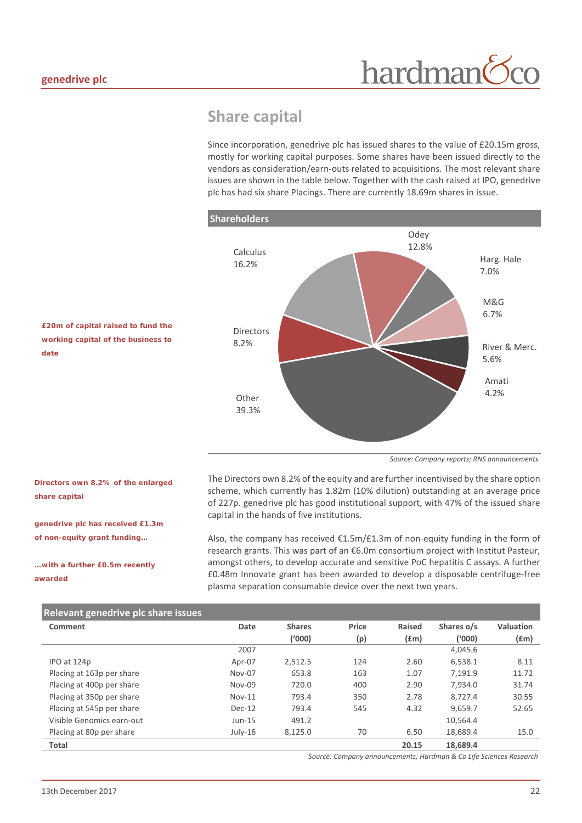### <span id="page-21-0"></span>**Share capital**

Since incorporation, genedrive plc has issued shares to the value of £20.15m gross, mostly for working capital purposes. Some shares have been issued directly to the vendors as consideration/earn-outs related to acquisitions. The most relevant share issues are shown in the table below. Together with the cash raised at IPO, genedrive plc has had six share Placings. There are currently 18.69m shares in issue.



*£20m of capital raised to fund the working capital of the business to date*

*Directors own 8.2% of the enlarged* 

*genedrive plc has received £1.3m of non-equity grant funding…*

*…with a further £0.5m recently* 

*share capital*

*awarded*

*Source: Company reports; RNS announcements*

The Directors own 8.2% of the equity and are further incentivised by the share option scheme, which currently has 1.82m (10% dilution) outstanding at an average price of 227p. genedrive plc has good institutional support, with 47% of the issued share capital in the hands of five institutions.

Also, the company has received €1.5m/£1.3m of non-equity funding in the form of research grants. This was part of an €6.0m consortium project with Institut Pasteur, amongst others, to develop accurate and sensitive PoC hepatitis C assays. A further £0.48m Innovate grant has been awarded to develop a disposable centrifuge-free plasma separation consumable device over the next two years.

| Relevant genedrive plc share issues |           |               |       |        |            |           |
|-------------------------------------|-----------|---------------|-------|--------|------------|-----------|
| Comment                             | Date      | <b>Shares</b> | Price | Raised | Shares o/s | Valuation |
|                                     |           | (1000)        | (p)   | f(m)   | ('000)     | $f$ (£m)  |
|                                     | 2007      |               |       |        | 4,045.6    |           |
| IPO at 124p                         | Apr-07    | 2,512.5       | 124   | 2.60   | 6.538.1    | 8.11      |
| Placing at 163p per share           | Nov-07    | 653.8         | 163   | 1.07   | 7.191.9    | 11.72     |
| Placing at 400p per share           | Nov-09    | 720.0         | 400   | 2.90   | 7.934.0    | 31.74     |
| Placing at 350p per share           | $Nov-11$  | 793.4         | 350   | 2.78   | 8.727.4    | 30.55     |
| Placing at 545p per share           | Dec-12    | 793.4         | 545   | 4.32   | 9.659.7    | 52.65     |
| Visible Genomics earn-out           | $Jun-15$  | 491.2         |       |        | 10.564.4   |           |
| Placing at 80p per share            | $July-16$ | 8,125.0       | 70    | 6.50   | 18,689.4   | 15.0      |
| <b>Total</b>                        |           |               |       | 20.15  | 18,689.4   |           |

*Source: Company announcements; Hardman & Co Life Sciences Research*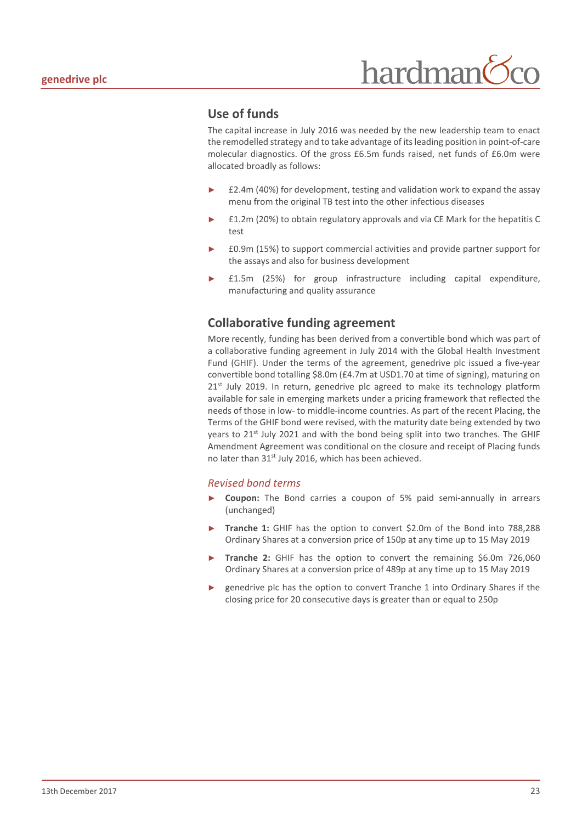```
hardman
```
#### **Use of funds**

The capital increase in July 2016 was needed by the new leadership team to enact the remodelled strategy and to take advantage of its leading position in point-of-care molecular diagnostics. Of the gross £6.5m funds raised, net funds of £6.0m were allocated broadly as follows:

- £2.4m (40%) for development, testing and validation work to expand the assay menu from the original TB test into the other infectious diseases
- ► £1.2m (20%) to obtain regulatory approvals and via CE Mark for the hepatitis C test
- ► £0.9m (15%) to support commercial activities and provide partner support for the assays and also for business development
- £1.5m (25%) for group infrastructure including capital expenditure, manufacturing and quality assurance

#### **Collaborative funding agreement**

More recently, funding has been derived from a convertible bond which was part of a collaborative funding agreement in July 2014 with the Global Health Investment Fund (GHIF). Under the terms of the agreement, genedrive plc issued a five-year convertible bond totalling \$8.0m (£4.7m at USD1.70 at time of signing), maturing on  $21<sup>st</sup>$  July 2019. In return, genedrive plc agreed to make its technology platform available for sale in emerging markets under a pricing framework that reflected the needs of those in low- to middle-income countries. As part of the recent Placing, the Terms of the GHIF bond were revised, with the maturity date being extended by two years to 21<sup>st</sup> July 2021 and with the bond being split into two tranches. The GHIF Amendment Agreement was conditional on the closure and receipt of Placing funds no later than 31<sup>st</sup> July 2016, which has been achieved.

#### *Revised bond terms*

- **Coupon:** The Bond carries a coupon of 5% paid semi-annually in arrears (unchanged)
- Tranche 1: GHIF has the option to convert \$2.0m of the Bond into 788,288 Ordinary Shares at a conversion price of 150p at any time up to 15 May 2019
- Tranche 2: GHIF has the option to convert the remaining \$6.0m 726,060 Ordinary Shares at a conversion price of 489p at any time up to 15 May 2019
- genedrive plc has the option to convert Tranche 1 into Ordinary Shares if the closing price for 20 consecutive days is greater than or equal to 250p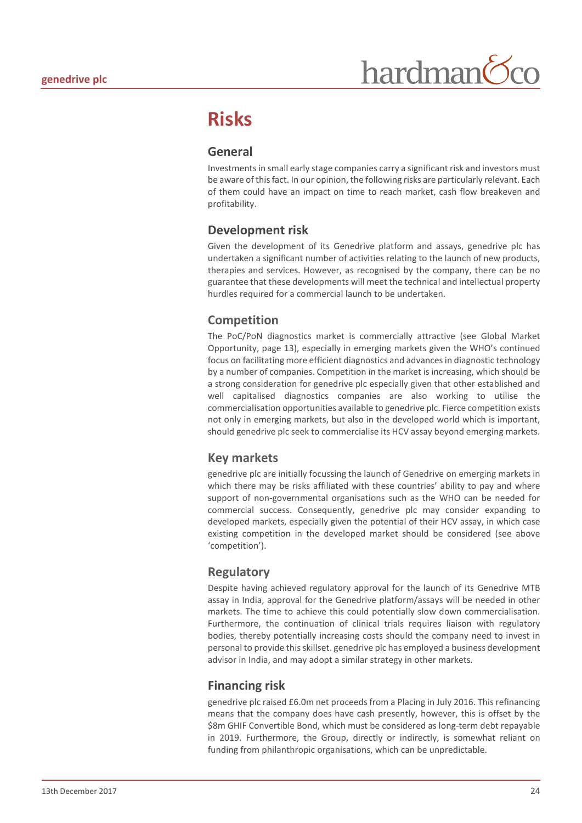## <span id="page-23-0"></span>**Risks**

#### **General**

Investments in small early stage companies carry a significant risk and investors must be aware of this fact. In our opinion, the following risks are particularly relevant. Each of them could have an impact on time to reach market, cash flow breakeven and profitability.

#### **Development risk**

Given the development of its Genedrive platform and assays, genedrive plc has undertaken a significant number of activities relating to the launch of new products, therapies and services. However, as recognised by the company, there can be no guarantee that these developments will meet the technical and intellectual property hurdles required for a commercial launch to be undertaken.

#### **Competition**

The PoC/PoN diagnostics market is commercially attractive (see Global Market Opportunity, page 13), especially in emerging markets given the WHO's continued focus on facilitating more efficient diagnostics and advances in diagnostic technology by a number of companies. Competition in the market is increasing, which should be a strong consideration for genedrive plc especially given that other established and well capitalised diagnostics companies are also working to utilise the commercialisation opportunities available to genedrive plc. Fierce competition exists not only in emerging markets, but also in the developed world which is important, should genedrive plc seek to commercialise its HCV assay beyond emerging markets.

#### **Key markets**

genedrive plc are initially focussing the launch of Genedrive on emerging markets in which there may be risks affiliated with these countries' ability to pay and where support of non-governmental organisations such as the WHO can be needed for commercial success. Consequently, genedrive plc may consider expanding to developed markets, especially given the potential of their HCV assay, in which case existing competition in the developed market should be considered (see above 'competition').

#### **Regulatory**

Despite having achieved regulatory approval for the launch of its Genedrive MTB assay in India, approval for the Genedrive platform/assays will be needed in other markets. The time to achieve this could potentially slow down commercialisation. Furthermore, the continuation of clinical trials requires liaison with regulatory bodies, thereby potentially increasing costs should the company need to invest in personal to provide this skillset. genedrive plc has employed a business development advisor in India, and may adopt a similar strategy in other markets*.* 

#### **Financing risk**

genedrive plc raised £6.0m net proceeds from a Placing in July 2016. This refinancing means that the company does have cash presently, however, this is offset by the \$8m GHIF Convertible Bond, which must be considered as long-term debt repayable in 2019. Furthermore, the Group, directly or indirectly, is somewhat reliant on funding from philanthropic organisations, which can be unpredictable.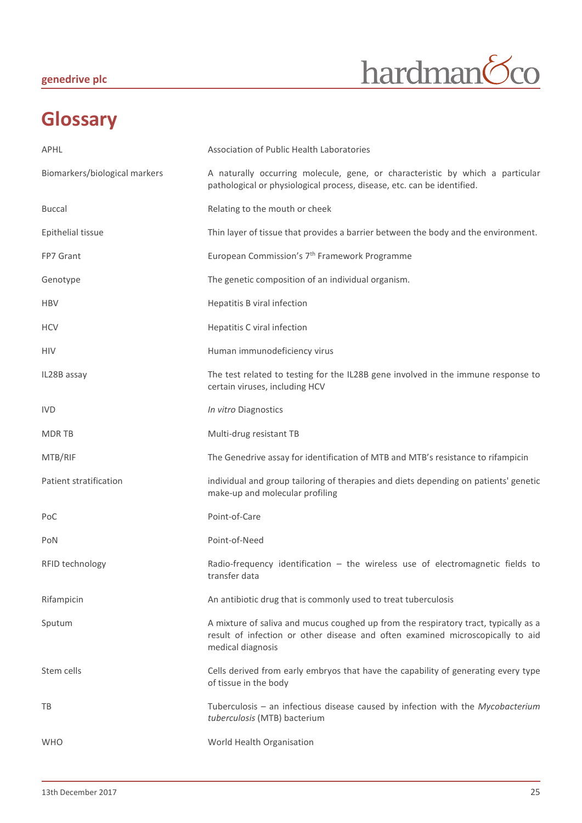#### **genedrive plc**



## <span id="page-24-0"></span>**Glossary**

| APHL                          | Association of Public Health Laboratories                                                                                                                                                  |
|-------------------------------|--------------------------------------------------------------------------------------------------------------------------------------------------------------------------------------------|
| Biomarkers/biological markers | A naturally occurring molecule, gene, or characteristic by which a particular<br>pathological or physiological process, disease, etc. can be identified.                                   |
| <b>Buccal</b>                 | Relating to the mouth or cheek                                                                                                                                                             |
| Epithelial tissue             | Thin layer of tissue that provides a barrier between the body and the environment.                                                                                                         |
| FP7 Grant                     | European Commission's 7 <sup>th</sup> Framework Programme                                                                                                                                  |
| Genotype                      | The genetic composition of an individual organism.                                                                                                                                         |
| <b>HBV</b>                    | Hepatitis B viral infection                                                                                                                                                                |
| <b>HCV</b>                    | Hepatitis C viral infection                                                                                                                                                                |
| <b>HIV</b>                    | Human immunodeficiency virus                                                                                                                                                               |
| IL28B assay                   | The test related to testing for the IL28B gene involved in the immune response to<br>certain viruses, including HCV                                                                        |
| <b>IVD</b>                    | In vitro Diagnostics                                                                                                                                                                       |
| <b>MDRTB</b>                  | Multi-drug resistant TB                                                                                                                                                                    |
| MTB/RIF                       | The Genedrive assay for identification of MTB and MTB's resistance to rifampicin                                                                                                           |
| Patient stratification        | individual and group tailoring of therapies and diets depending on patients' genetic<br>make-up and molecular profiling                                                                    |
| PoC                           | Point-of-Care                                                                                                                                                                              |
| PoN                           | Point-of-Need                                                                                                                                                                              |
| RFID technology               | Radio-frequency identification - the wireless use of electromagnetic fields to<br>transfer data                                                                                            |
| Rifampicin                    | An antibiotic drug that is commonly used to treat tuberculosis                                                                                                                             |
| Sputum                        | A mixture of saliva and mucus coughed up from the respiratory tract, typically as a<br>result of infection or other disease and often examined microscopically to aid<br>medical diagnosis |
| Stem cells                    | Cells derived from early embryos that have the capability of generating every type<br>of tissue in the body                                                                                |
| TB                            | Tuberculosis $-$ an infectious disease caused by infection with the Mycobacterium<br>tuberculosis (MTB) bacterium                                                                          |
| <b>WHO</b>                    | World Health Organisation                                                                                                                                                                  |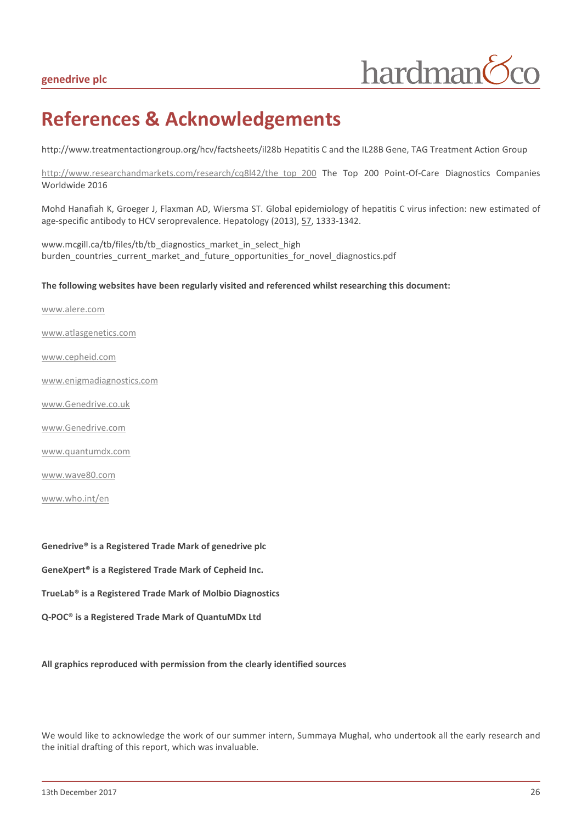## <span id="page-25-0"></span>**References & Acknowledgements**

http://www.treatmentactiongroup.org/hcv/factsheets/il28b Hepatitis C and the IL28B Gene, TAG Treatment Action Group

[http://www.researchandmarkets.com/research/cq8l42/the\\_top\\_200](http://www.researchandmarkets.com/research/cq8l42/the_top_200) The Top 200 Point-Of-Care Diagnostics Companies Worldwide 2016

Mohd Hanafiah K, Groeger J, Flaxman AD, Wiersma ST. Global epidemiology of hepatitis C virus infection: new estimated of age-specific antibody to HCV seroprevalence. Hepatology (2013), 57, 1333-1342.

www.mcgill.ca/tb/files/tb/tb\_diagnostics\_market\_in\_select\_high burden countries current market and future opportunities for novel diagnostics.pdf

#### **The following websites have been regularly visited and referenced whilst researching this document:**

www.alere.com

[www.atlasgenetics.com](http://www.atlasgenetics.com/)

[www.cepheid.com](http://www.cepheid.com/)

[www.enigmadiagnostics.com](http://www.enigmadiagnostics.com/)

[www.Genedrive.co.uk](http://www.epistem.co.uk/)

[www.Genedrive.com](http://www.genedrive.com/)

[www.quantumdx.com](http://www.quantumdx.com/)

www.wave80.com

[www.who.int/en](http://www.who.int/en)

**Genedrive® is a Registered Trade Mark of genedrive plc GeneXpert® is a Registered Trade Mark of Cepheid Inc. TrueLab® is a Registered Trade Mark of Molbio Diagnostics Q-POC® is a Registered Trade Mark of QuantuMDx Ltd**

**All graphics reproduced with permission from the clearly identified sources**

We would like to acknowledge the work of our summer intern, Summaya Mughal, who undertook all the early research and the initial drafting of this report, which was invaluable.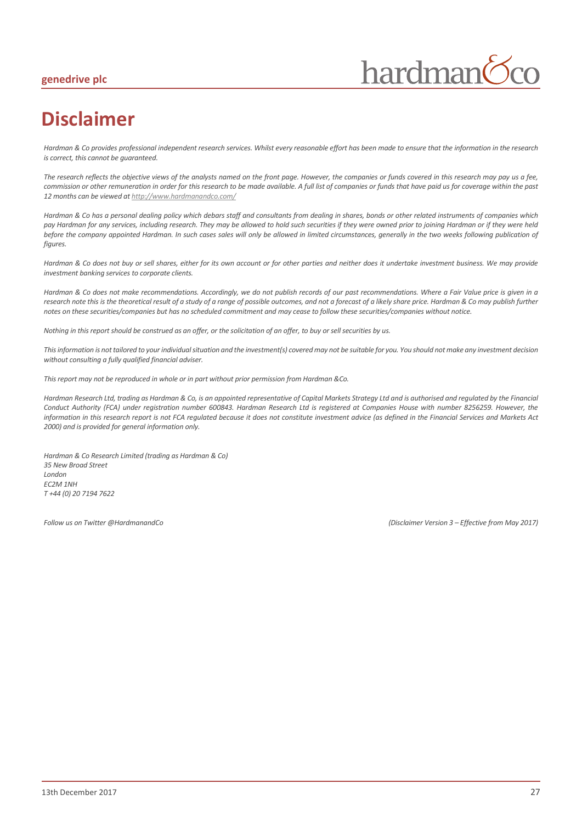#### **genedrive plc**



## <span id="page-26-0"></span>**Disclaimer**

*Hardman & Co provides professional independent research services. Whilst every reasonable effort has been made to ensure that the information in the research is correct, this cannot be guaranteed.*

*The research reflects the objective views of the analysts named on the front page. However, the companies or funds covered in this research may pay us a fee, commission or other remuneration in order for this research to be made available. A full list of companies or funds that have paid us for coverage within the past 12 months can be viewed a[t http://www.hardmanandco.com/](http://www.hardmanandco.com/)*

*Hardman & Co has a personal dealing policy which debars staff and consultants from dealing in shares, bonds or other related instruments of companies which pay Hardman for any services, including research. They may be allowed to hold such securities if they were owned prior to joining Hardman or if they were held before the company appointed Hardman. In such cases sales will only be allowed in limited circumstances, generally in the two weeks following publication of figures.* 

Hardman & Co does not buy or sell shares, either for its own account or for other parties and neither does it undertake investment business. We may provide *investment banking services to corporate clients.* 

*Hardman & Co does not make recommendations. Accordingly, we do not publish records of our past recommendations. Where a Fair Value price is given in a research note this is the theoretical result of a study of a range of possible outcomes, and not a forecast of a likely share price. Hardman & Co may publish further notes on these securities/companies but has no scheduled commitment and may cease to follow these securities/companies without notice.*

*Nothing in this report should be construed as an offer, or the solicitation of an offer, to buy or sell securities by us.*

*This information is not tailored to your individual situation and the investment(s) covered may not be suitable for you. You should not make any investment decision without consulting a fully qualified financial adviser.*

*This report may not be reproduced in whole or in part without prior permission from Hardman &Co.*

*Hardman Research Ltd, trading as Hardman & Co, is an appointed representative of Capital Markets Strategy Ltd and is authorised and regulated by the Financial Conduct Authority (FCA) under registration number 600843. Hardman Research Ltd is registered at Companies House with number 8256259. However, the information in this research report is not FCA regulated because it does not constitute investment advice (as defined in the Financial Services and Markets Act 2000) and is provided for general information only.*

*Hardman & Co Research Limited (trading as Hardman & Co) 35 New Broad Street London EC2M 1NH T +44 (0) 20 7194 7622*

*Follow us on Twitter @HardmanandCo (Disclaimer Version 3 – Effective from May 2017)*